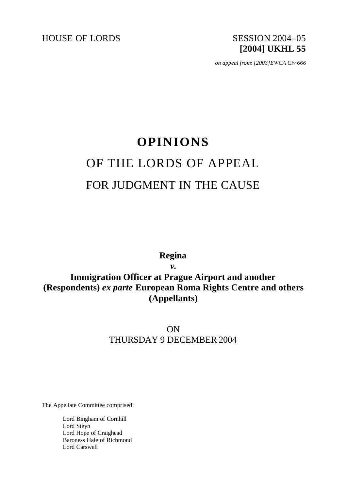

*on appeal from: [2003]EWCA Civ 666*

# **OPINIONS** OF THE LORDS OF APPEAL FOR JUDGMENT IN THE CAUSE

**Regina**

*v.*

**Immigration Officer at Prague Airport and another (Respondents)** *ex parte* **European Roma Rights Centre and others (Appellants)**

> ON THURSDAY 9 DECEMBER 2004

The Appellate Committee comprised:

Lord Bingham of Cornhill Lord Steyn Lord Hope of Craighead Baroness Hale of Richmond Lord Carswell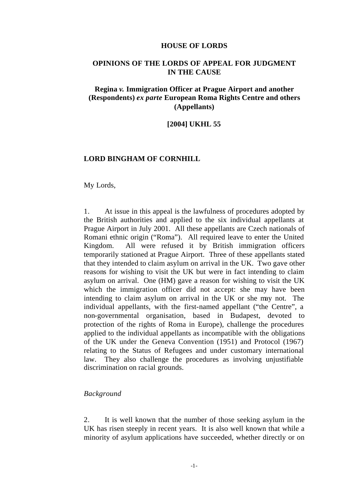#### **HOUSE OF LORDS**

# **OPINIONS OF THE LORDS OF APPEAL FOR JUDGMENT IN THE CAUSE**

# **Regina** *v.* **Immigration Officer at Prague Airport and another (Respondents)** *ex parte* **European Roma Rights Centre and others (Appellants)**

#### **[2004] UKHL 55**

#### **LORD BINGHAM OF CORNHILL**

My Lords,

1. At issue in this appeal is the lawfulness of procedures adopted by the British authorities and applied to the six individual appellants at Prague Airport in July 2001. All these appellants are Czech nationals of Romani ethnic origin ("Roma"). All required leave to enter the United Kingdom. All were refused it by British immigration officers temporarily stationed at Prague Airport. Three of these appellants stated that they intended to claim asylum on arrival in the UK. Two gave other reasons for wishing to visit the UK but were in fact intending to claim asylum on arrival. One (HM) gave a reason for wishing to visit the UK which the immigration officer did not accept: she may have been intending to claim asylum on arrival in the UK or she may not. The individual appellants, with the first-named appellant ("the Centre", a non-governmental organisation, based in Budapest, devoted to protection of the rights of Roma in Europe), challenge the procedures applied to the individual appellants as incompatible with the obligations of the UK under the Geneva Convention (1951) and Protocol (1967) relating to the Status of Refugees and under customary international law. They also challenge the procedures as involving unjustifiable discrimination on racial grounds.

#### *Background*

2. It is well known that the number of those seeking asylum in the UK has risen steeply in recent years. It is also well known that while a minority of asylum applications have succeeded, whether directly or on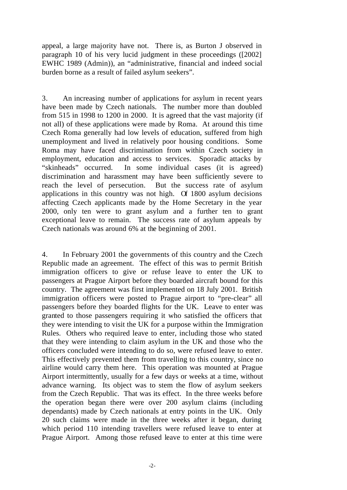appeal, a large majority have not. There is, as Burton J observed in paragraph 10 of his very lucid judgment in these proceedings ([2002] EWHC 1989 (Admin)), an "administrative, financial and indeed social burden borne as a result of failed asylum seekers".

3. An increasing number of applications for asylum in recent years have been made by Czech nationals. The number more than doubled from 515 in 1998 to 1200 in 2000. It is agreed that the vast majority (if not all) of these applications were made by Roma. At around this time Czech Roma generally had low levels of education, suffered from high unemployment and lived in relatively poor housing conditions. Some Roma may have faced discrimination from within Czech society in employment, education and access to services. Sporadic attacks by "skinheads" occurred. In some individual cases (it is agreed) discrimination and harassment may have been sufficiently severe to reach the level of persecution. But the success rate of asylum applications in this country was not high. Of 1800 asylum decisions affecting Czech applicants made by the Home Secretary in the year 2000, only ten were to grant asylum and a further ten to grant exceptional leave to remain. The success rate of asylum appeals by Czech nationals was around 6% at the beginning of 2001.

4. In February 2001 the governments of this country and the Czech Republic made an agreement. The effect of this was to permit British immigration officers to give or refuse leave to enter the UK to passengers at Prague Airport before they boarded aircraft bound for this country. The agreement was first implemented on 18 July 2001. British immigration officers were posted to Prague airport to "pre-clear" all passengers before they boarded flights for the UK. Leave to enter was granted to those passengers requiring it who satisfied the officers that they were intending to visit the UK for a purpose within the Immigration Rules. Others who required leave to enter, including those who stated that they were intending to claim asylum in the UK and those who the officers concluded were intending to do so, were refused leave to enter. This effectively prevented them from travelling to this country, since no airline would carry them here. This operation was mounted at Prague Airport intermittently, usually for a few days or weeks at a time, without advance warning. Its object was to stem the flow of asylum seekers from the Czech Republic. That was its effect. In the three weeks before the operation began there were over 200 asylum claims (including dependants) made by Czech nationals at entry points in the UK. Only 20 such claims were made in the three weeks after it began, during which period 110 intending travellers were refused leave to enter at Prague Airport. Among those refused leave to enter at this time were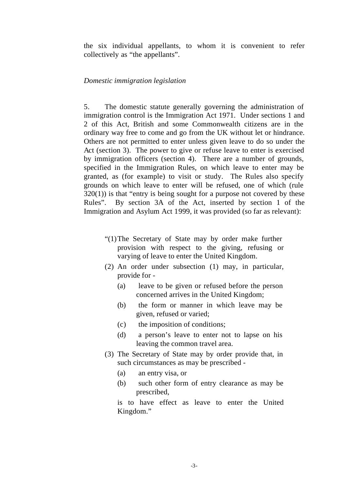the six individual appellants, to whom it is convenient to refer collectively as "the appellants".

# *Domestic immigration legislation*

5. The domestic statute generally governing the administration of immigration control is the Immigration Act 1971. Under sections 1 and 2 of this Act, British and some Commonwealth citizens are in the ordinary way free to come and go from the UK without let or hindrance. Others are not permitted to enter unless given leave to do so under the Act (section 3). The power to give or refuse leave to enter is exercised by immigration officers (section 4). There are a number of grounds, specified in the Immigration Rules, on which leave to enter may be granted, as (for example) to visit or study. The Rules also specify grounds on which leave to enter will be refused, one of which (rule  $320(1)$ ) is that "entry is being sought for a purpose not covered by these Rules". By section 3A of the Act, inserted by section 1 of the Immigration and Asylum Act 1999, it was provided (so far as relevant):

- "(1)The Secretary of State may by order make further provision with respect to the giving, refusing or varying of leave to enter the United Kingdom.
- (2) An order under subsection (1) may, in particular, provide for -
	- (a) leave to be given or refused before the person concerned arrives in the United Kingdom;
	- (b) the form or manner in which leave may be given, refused or varied;
	- (c) the imposition of conditions;
	- (d) a person's leave to enter not to lapse on his leaving the common travel area.
- (3) The Secretary of State may by order provide that, in such circumstances as may be prescribed -
	- (a) an entry visa, or
	- (b) such other form of entry clearance as may be prescribed,

is to have effect as leave to enter the United Kingdom."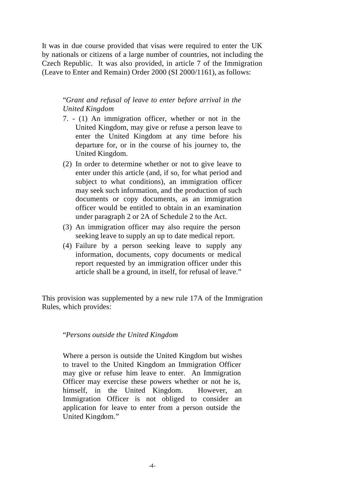It was in due course provided that visas were required to enter the UK by nationals or citizens of a large number of countries, not including the Czech Republic. It was also provided, in article 7 of the Immigration (Leave to Enter and Remain) Order 2000 (SI 2000/1161), as follows:

# "*Grant and refusal of leave to enter before arrival in the United Kingdom*

- 7. (1) An immigration officer, whether or not in the United Kingdom, may give or refuse a person leave to enter the United Kingdom at any time before his departure for, or in the course of his journey to, the United Kingdom.
- (2) In order to determine whether or not to give leave to enter under this article (and, if so, for what period and subject to what conditions), an immigration officer may seek such information, and the production of such documents or copy documents, as an immigration officer would be entitled to obtain in an examination under paragraph 2 or 2A of Schedule 2 to the Act.
- (3) An immigration officer may also require the person seeking leave to supply an up to date medical report.
- (4) Failure by a person seeking leave to supply any information, documents, copy documents or medical report requested by an immigration officer under this article shall be a ground, in itself, for refusal of leave."

This provision was supplemented by a new rule 17A of the Immigration Rules, which provides:

#### "*Persons outside the United Kingdom*

Where a person is outside the United Kingdom but wishes to travel to the United Kingdom an Immigration Officer may give or refuse him leave to enter. An Immigration Officer may exercise these powers whether or not he is, himself, in the United Kingdom. However, an Immigration Officer is not obliged to consider an application for leave to enter from a person outside the United Kingdom."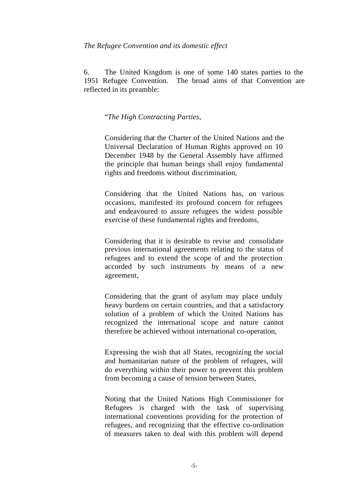#### *The Refugee Convention and its domestic effect*

6. The United Kingdom is one of some 140 states parties to the 1951 Refugee Convention. The broad aims of that Convention are reflected in its preamble:

#### "*The High Contracting Parties,*

Considering that the Charter of the United Nations and the Universal Declaration of Human Rights approved on 10 December 1948 by the General Assembly have affirmed the principle that human beings shall enjoy fundamental rights and freedoms without discrimination,

Considering that the United Nations has, on various occasions, manifested its profound concern for refugees and endeavoured to assure refugees the widest possible exercise of these fundamental rights and freedoms,

Considering that it is desirable to revise and consolidate previous international agreements relating to the status of refugees and to extend the scope of and the protection accorded by such instruments by means of a new agreement,

Considering that the grant of asylum may place unduly heavy burdens on certain countries, and that a satisfactory solution of a problem of which the United Nations has recognized the international scope and nature cannot therefore be achieved without international co-operation,

Expressing the wish that all States, recognizing the social and humanitarian nature of the problem of refugees, will do everything within their power to prevent this problem from becoming a cause of tension between States,

Noting that the United Nations High Commissioner for Refugees is charged with the task of supervising international conventions providing for the protection of refugees, and recognizing that the effective co-ordination of measures taken to deal with this problem will depend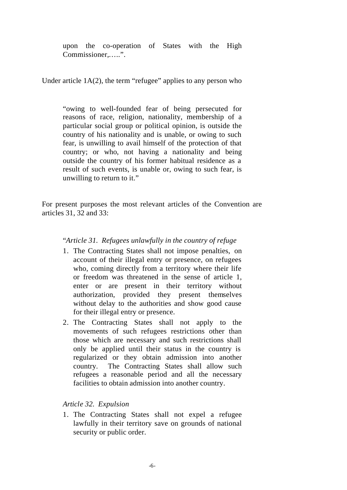upon the co-operation of States with the High Commissioner,…..".

Under article 1A(2), the term "refugee" applies to any person who

"owing to well-founded fear of being persecuted for reasons of race, religion, nationality, membership of a particular social group or political opinion, is outside the country of his nationality and is unable, or owing to such fear, is unwilling to avail himself of the protection of that country; or who, not having a nationality and being outside the country of his former habitual residence as a result of such events, is unable or, owing to such fear, is unwilling to return to it."

For present purposes the most relevant articles of the Convention are articles 31, 32 and 33:

"*Article 31. Refugees unlawfully in the country of refuge*

- 1. The Contracting States shall not impose penalties, on account of their illegal entry or presence, on refugees who, coming directly from a territory where their life or freedom was threatened in the sense of article 1, enter or are present in their territory without authorization, provided they present themselves without delay to the authorities and show good cause for their illegal entry or presence.
- 2. The Contracting States shall not apply to the movements of such refugees restrictions other than those which are necessary and such restrictions shall only be applied until their status in the country is regularized or they obtain admission into another country. The Contracting States shall allow such refugees a reasonable period and all the necessary facilities to obtain admission into another country.

# *Article 32. Expulsion*

1. The Contracting States shall not expel a refugee lawfully in their territory save on grounds of national security or public order.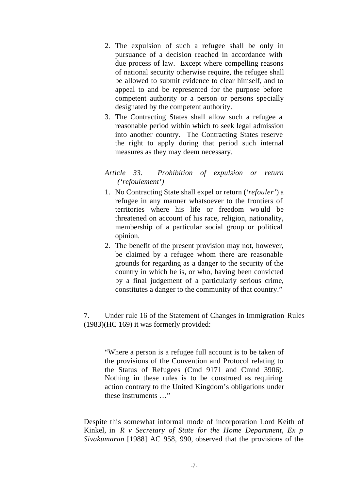- 2. The expulsion of such a refugee shall be only in pursuance of a decision reached in accordance with due process of law. Except where compelling reasons of national security otherwise require, the refugee shall be allowed to submit evidence to clear himself, and to appeal to and be represented for the purpose before competent authority or a person or persons specially designated by the competent authority.
- 3. The Contracting States shall allow such a refugee a reasonable period within which to seek legal admission into another country. The Contracting States reserve the right to apply during that period such internal measures as they may deem necessary.

# *Article 33. Prohibition of expulsion or return ('refoulement')*

- 1. No Contracting State shall expel or return ('*refouler'*) a refugee in any manner whatsoever to the frontiers of territories where his life or freedom wo uld be threatened on account of his race, religion, nationality, membership of a particular social group or political opinion.
- 2. The benefit of the present provision may not, however, be claimed by a refugee whom there are reasonable grounds for regarding as a danger to the security of the country in which he is, or who, having been convicted by a final judgement of a particularly serious crime, constitutes a danger to the community of that country."

7. Under rule 16 of the Statement of Changes in Immigration Rules (1983)(HC 169) it was formerly provided:

"Where a person is a refugee full account is to be taken of the provisions of the Convention and Protocol relating to the Status of Refugees (Cmd 9171 and Cmnd 3906). Nothing in these rules is to be construed as requiring action contrary to the United Kingdom's obligations under these instruments …"

Despite this somewhat informal mode of incorporation Lord Keith of Kinkel, in *R v Secretary of State for the Home Department, Ex p Sivakumaran* [1988] AC 958, 990, observed that the provisions of the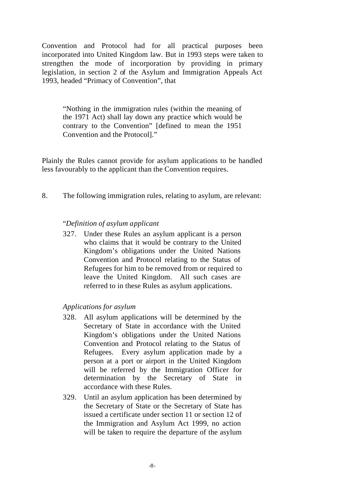Convention and Protocol had for all practical purposes been incorporated into United Kingdom law. But in 1993 steps were taken to strengthen the mode of incorporation by providing in primary legislation, in section 2 of the Asylum and Immigration Appeals Act 1993, headed "Primacy of Convention", that

"Nothing in the immigration rules (within the meaning of the 1971 Act) shall lay down any practice which would be contrary to the Convention" [defined to mean the 1951 Convention and the Protocol]."

Plainly the Rules cannot provide for asylum applications to be handled less favourably to the applicant than the Convention requires.

8. The following immigration rules, relating to asylum, are relevant:

#### "*Definition of asylum applicant*

327. Under these Rules an asylum applicant is a person who claims that it would be contrary to the United Kingdom's obligations under the United Nations Convention and Protocol relating to the Status of Refugees for him to be removed from or required to leave the United Kingdom. All such cases are referred to in these Rules as asylum applications.

#### *Applications for asylum*

- 328. All asylum applications will be determined by the Secretary of State in accordance with the United Kingdom's obligations under the United Nations Convention and Protocol relating to the Status of Refugees. Every asylum application made by a person at a port or airport in the United Kingdom will be referred by the Immigration Officer for determination by the Secretary of State in accordance with these Rules.
- 329. Until an asylum application has been determined by the Secretary of State or the Secretary of State has issued a certificate under section 11 or section 12 of the Immigration and Asylum Act 1999, no action will be taken to require the departure of the asylum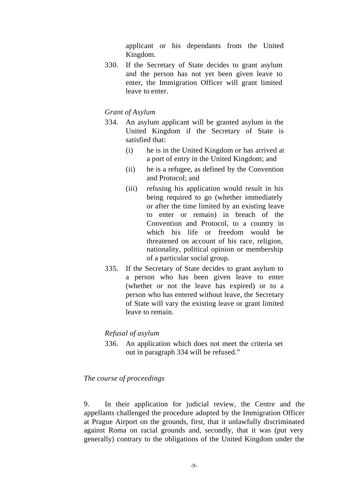applicant or his dependants from the United Kingdom.

330. If the Secretary of State decides to grant asylum and the person has not yet been given leave to enter, the Immigration Officer will grant limited leave to enter.

# *Grant of Asylum*

- 334. An asylum applicant will be granted asylum in the United Kingdom if the Secretary of State is satisfied that:
	- (i) he is in the United Kingdom or has arrived at a port of entry in the United Kingdom; and
	- (ii) he is a refugee, as defined by the Convention and Protocol; and
	- (iii) refusing his application would result in his being required to go (whether immediately or after the time limited by an existing leave to enter or remain) in breach of the Convention and Protocol, to a country in which his life or freedom would be threatened on account of his race, religion, nationality, political opinion or membership of a particular social group.
- 335. If the Secretary of State decides to grant asylum to a person who has been given leave to enter (whether or not the leave has expired) or to a person who has entered without leave, the Secretary of State will vary the existing leave or grant limited leave to remain.

# *Refusal of asylum*

336. An application which does not meet the criteria set out in paragraph 334 will be refused."

# *The course of proceedings*

9. In their application for judicial review, the Centre and the appellants challenged the procedure adopted by the Immigration Officer at Prague Airport on the grounds, first, that it unlawfully discriminated against Roma on racial grounds and, secondly, that it was (put very generally) contrary to the obligations of the United Kingdom under the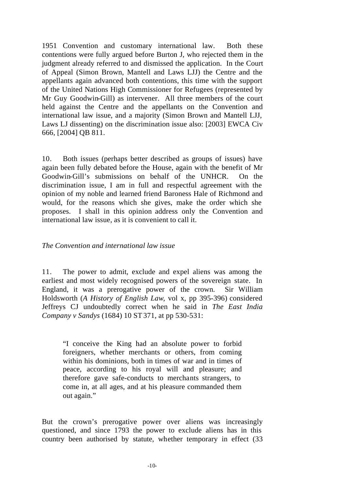1951 Convention and customary international law. Both these contentions were fully argued before Burton J, who rejected them in the judgment already referred to and dismissed the application. In the Court of Appeal (Simon Brown, Mantell and Laws LJJ) the Centre and the appellants again advanced both contentions, this time with the support of the United Nations High Commissioner for Refugees (represented by Mr Guy Goodwin-Gill) as intervener. All three members of the court held against the Centre and the appellants on the Convention and international law issue, and a majority (Simon Brown and Mantell LJJ, Laws LJ dissenting) on the discrimination issue also: [2003] EWCA Civ 666, [2004] QB 811.

10. Both issues (perhaps better described as groups of issues) have again been fully debated before the House, again with the benefit of Mr Goodwin-Gill's submissions on behalf of the UNHCR. On the discrimination issue, I am in full and respectful agreement with the opinion of my noble and learned friend Baroness Hale of Richmond and would, for the reasons which she gives, make the order which she proposes. I shall in this opinion address only the Convention and international law issue, as it is convenient to call it.

# *The Convention and international law issue*

11. The power to admit, exclude and expel aliens was among the earliest and most widely recognised powers of the sovereign state. In England, it was a prerogative power of the crown. Sir William Holdsworth (*A History of English Law*, vol x, pp 395-396) considered Jeffreys CJ undoubtedly correct when he said in *The East India Company v Sandys* (1684) 10 ST 371, at pp 530-531:

"I conceive the King had an absolute power to forbid foreigners, whether merchants or others, from coming within his dominions, both in times of war and in times of peace, according to his royal will and pleasure; and therefore gave safe-conducts to merchants strangers, to come in, at all ages, and at his pleasure commanded them out again."

But the crown's prerogative power over aliens was increasingly questioned, and since 1793 the power to exclude aliens has in this country been authorised by statute, whether temporary in effect (33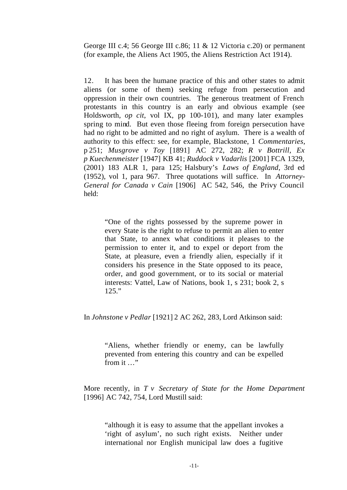George III c.4; 56 George III c.86; 11 & 12 Victoria c.20) or permanent (for example, the Aliens Act 1905, the Aliens Restriction Act 1914).

12. It has been the humane practice of this and other states to admit aliens (or some of them) seeking refuge from persecution and oppression in their own countries. The generous treatment of French protestants in this country is an early and obvious example (see Holdsworth, *op cit*, vol IX, pp 100-101), and many later examples spring to mind. But even those fleeing from foreign persecution have had no right to be admitted and no right of asylum. There is a wealth of authority to this effect: see, for example, Blackstone, 1 *Commentaries*, p 251; *Musgrove v Toy* [1891] AC 272, 282; *R v Bottrill, Ex p Kuechenmeister* [1947] KB 41; *Ruddock v Vadarlis* [2001] FCA 1329, (2001) 183 ALR 1, para 125; Halsbury's *Laws of England*, 3rd ed (1952), vol 1, para 967. Three quotations will suffice. In *Attorney-General for Canada v Cain* [1906] AC 542, 546, the Privy Council held:

"One of the rights possessed by the supreme power in every State is the right to refuse to permit an alien to enter that State, to annex what conditions it pleases to the permission to enter it, and to expel or deport from the State, at pleasure, even a friendly alien, especially if it considers his presence in the State opposed to its peace, order, and good government, or to its social or material interests: Vattel, Law of Nations, book 1, s 231; book 2, s 125."

In *Johnstone v Pedlar* [1921] 2 AC 262, 283, Lord Atkinson said:

"Aliens, whether friendly or enemy, can be lawfully prevented from entering this country and can be expelled from it ..."

More recently, in *T v Secretary of State for the Home Department* [1996] AC 742, 754, Lord Mustill said:

"although it is easy to assume that the appellant invokes a 'right of asylum', no such right exists. Neither under international nor English municipal law does a fugitive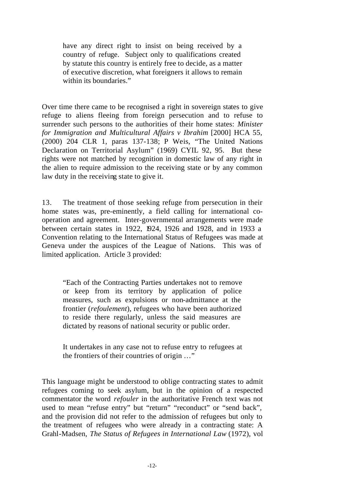have any direct right to insist on being received by a country of refuge. Subject only to qualifications created by statute this country is entirely free to decide, as a matter of executive discretion, what foreigners it allows to remain within its boundaries."

Over time there came to be recognised a right in sovereign states to give refuge to aliens fleeing from foreign persecution and to refuse to surrender such persons to the authorities of their home states: *Minister for Immigration and Multicultural Affairs v Ibrahim* [2000] HCA 55, (2000) 204 CLR 1, paras 137-138; P Weis, "The United Nations Declaration on Territorial Asylum" (1969) CYIL 92, 95. But these rights were not matched by recognition in domestic law of any right in the alien to require admission to the receiving state or by any common law duty in the receiving state to give it.

13. The treatment of those seeking refuge from persecution in their home states was, pre-eminently, a field calling for international cooperation and agreement. Inter-governmental arrangements were made between certain states in 1922, 1924, 1926 and 1928, and in 1933 a Convention relating to the International Status of Refugees was made at Geneva under the auspices of the League of Nations. This was of limited application. Article 3 provided:

"Each of the Contracting Parties undertakes not to remove or keep from its territory by application of police measures, such as expulsions or non-admittance at the frontier (*refoulement*), refugees who have been authorized to reside there regularly, unless the said measures are dictated by reasons of national security or public order.

It undertakes in any case not to refuse entry to refugees at the frontiers of their countries of origin …"

This language might be understood to oblige contracting states to admit refugees coming to seek asylum, but in the opinion of a respected commentator the word *refouler* in the authoritative French text was not used to mean "refuse entry" but "return" "reconduct" or "send back", and the provision did not refer to the admission of refugees but only to the treatment of refugees who were already in a contracting state: A Grahl-Madsen, *The Status of Refugees in International Law* (1972), vol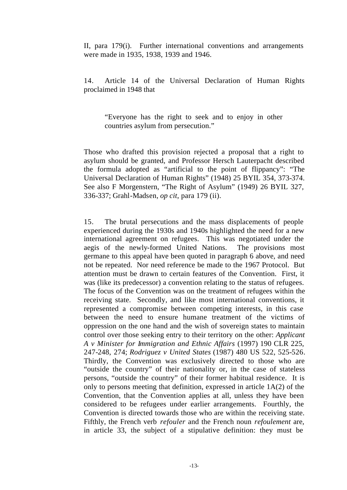II, para 179(i). Further international conventions and arrangements were made in 1935, 1938, 1939 and 1946.

14. Article 14 of the Universal Declaration of Human Rights proclaimed in 1948 that

"Everyone has the right to seek and to enjoy in other countries asylum from persecution."

Those who drafted this provision rejected a proposal that a right to asylum should be granted, and Professor Hersch Lauterpacht described the formula adopted as "artificial to the point of flippancy": "The Universal Declaration of Human Rights" (1948) 25 BYIL 354, 373-374. See also F Morgenstern, "The Right of Asylum" (1949) 26 BYIL 327, 336-337; Grahl-Madsen, *op cit*, para 179 (ii).

15. The brutal persecutions and the mass displacements of people experienced during the 1930s and 1940s highlighted the need for a new international agreement on refugees. This was negotiated under the aegis of the newly-formed United Nations. The provisions most germane to this appeal have been quoted in paragraph 6 above, and need not be repeated. Nor need reference be made to the 1967 Protocol. But attention must be drawn to certain features of the Convention. First, it was (like its predecessor) a convention relating to the status of refugees. The focus of the Convention was on the treatment of refugees within the receiving state. Secondly, and like most international conventions, it represented a compromise between competing interests, in this case between the need to ensure humane treatment of the victims of oppression on the one hand and the wish of sovereign states to maintain control over those seeking entry to their territory on the other: *Applicant A v Minister for Immigration and Ethnic Affairs* (1997) 190 CLR 225, 247-248, 274; *Rodriguez v United States* (1987) 480 US 522, 525-526. Thirdly, the Convention was exclusively directed to those who are "outside the country" of their nationality or, in the case of stateless persons, "outside the country" of their former habitual residence. It is only to persons meeting that definition, expressed in article 1A(2) of the Convention, that the Convention applies at all, unless they have been considered to be refugees under earlier arrangements. Fourthly, the Convention is directed towards those who are within the receiving state. Fifthly, the French verb *refouler* and the French noun *refoulement* are, in article 33, the subject of a stipulative definition: they must be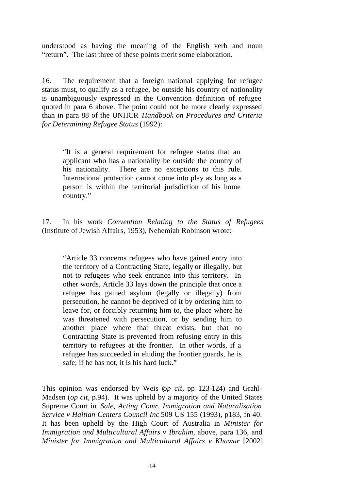understood as having the meaning of the English verb and noun "return". The last three of these points merit some elaboration.

16. The requirement that a foreign national applying for refugee status must, to qualify as a refugee, be outside his country of nationality is unambiguously expressed in the Convention definition of refugee quoted in para 6 above. The point could not be more clearly expressed than in para 88 of the UNHCR *Handbook on Procedures and Criteria for Determining Refugee Status* (1992):

"It is a general requirement for refugee status that an applicant who has a nationality be outside the country of his nationality. There are no exceptions to this rule. International protection cannot come into play as long as a person is within the territorial jurisdiction of his home country."

17. In his work *Convention Relating to the Status of Refugees* (Institute of Jewish Affairs, 1953), Nehemiah Robinson wrote:

"Article 33 concerns refugees who have gained entry into the territory of a Contracting State, legally or illegally, but not to refugees who seek entrance into this territory. In other words, Article 33 lays down the principle that once a refugee has gained asylum (legally or illegally) from persecution, he cannot be deprived of it by ordering him to leave for, or forcibly returning him to, the place where he was threatened with persecution, or by sending him to another place where that threat exists, but that no Contracting State is prevented from refusing entry in this territory to refugees at the frontier. In other words, if a refugee has succeeded in eluding the frontier guards, he is safe; if he has not, it is his hard luck."

This opinion was endorsed by Weis (*op cit,* pp 123-124) and Grahl-Madsen (*op cit,* p.94). It was upheld by a majority of the United States Supreme Court in *Sale, Acting Comr, Immigration and Naturalisation Service v Haitian Centers Council Inc* 509 US 155 (1993), p183, fn 40. It has been upheld by the High Court of Australia in *Minister for Immigration and Multicultural Affairs v Ibrahim,* above, para 136, and *Minister for Immigration and Multicultural Affairs v Khawar* [2002]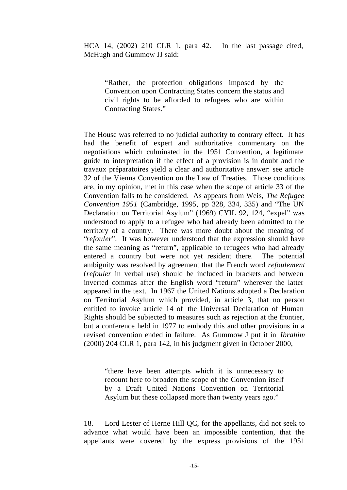"Rather, the protection obligations imposed by the Convention upon Contracting States concern the status and civil rights to be afforded to refugees who are within Contracting States."

The House was referred to no judicial authority to contrary effect. It has had the benefit of expert and authoritative commentary on the negotiations which culminated in the 1951 Convention, a legitimate guide to interpretation if the effect of a provision is in doubt and the travaux préparatoires yield a clear and authoritative answer: see article 32 of the Vienna Convention on the Law of Treaties. Those conditions are, in my opinion, met in this case when the scope of article 33 of the Convention falls to be considered. As appears from Weis, *The Refugee Convention 1951* (Cambridge, 1995, pp 328, 334, 335) and "The UN Declaration on Territorial Asylum" (1969) CYIL 92, 124, "expel" was understood to apply to a refugee who had already been admitted to the territory of a country. There was more doubt about the meaning of "*refouler*". It was however understood that the expression should have the same meaning as "return", applicable to refugees who had already entered a country but were not yet resident there. The potential ambiguity was resolved by agreement that the French word *refoulement* (*refouler* in verbal use) should be included in brackets and between inverted commas after the English word "return" wherever the latter appeared in the text. In 1967 the United Nations adopted a Declaration on Territorial Asylum which provided, in article 3, that no person entitled to invoke article 14 of the Universal Declaration of Human Rights should be subjected to measures such as rejection at the frontier, but a conference held in 1977 to embody this and other provisions in a revised convention ended in failure. As Gummow J put it in *Ibrahim* (2000) 204 CLR 1, para 142, in his judgment given in October 2000,

"there have been attempts which it is unnecessary to recount here to broaden the scope of the Convention itself by a Draft United Nations Convention on Territorial Asylum but these collapsed more than twenty years ago."

18. Lord Lester of Herne Hill QC, for the appellants, did not seek to advance what would have been an impossible contention, that the appellants were covered by the express provisions of the 1951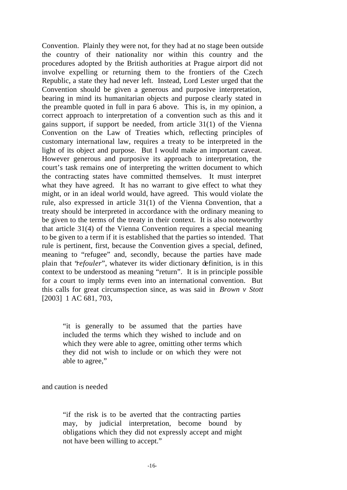Convention. Plainly they were not, for they had at no stage been outside the country of their nationality nor within this country and the procedures adopted by the British authorities at Prague airport did not involve expelling or returning them to the frontiers of the Czech Republic, a state they had never left. Instead, Lord Lester urged that the Convention should be given a generous and purposive interpretation, bearing in mind its humanitarian objects and purpose clearly stated in the preamble quoted in full in para 6 above. This is, in my opinion, a correct approach to interpretation of a convention such as this and it gains support, if support be needed, from article 31(1) of the Vienna Convention on the Law of Treaties which, reflecting principles of customary international law, requires a treaty to be interpreted in the light of its object and purpose. But I would make an important caveat. However generous and purposive its approach to interpretation, the court's task remains one of interpreting the written document to which the contracting states have committed themselves. It must interpret what they have agreed. It has no warrant to give effect to what they might, or in an ideal world would, have agreed. This would violate the rule, also expressed in article 31(1) of the Vienna Convention, that a treaty should be interpreted in accordance with the ordinary meaning to be given to the terms of the treaty in their context. It is also noteworthy that article 31(4) of the Vienna Convention requires a special meaning to be given to a term if it is established that the parties so intended. That rule is pertinent, first, because the Convention gives a special, defined, meaning to "refugee" and, secondly, because the parties have made plain that "*refouler*", whatever its wider dictionary definition, is in this context to be understood as meaning "return". It is in principle possible for a court to imply terms even into an international convention. But this calls for great circumspection since, as was said in *Brown v Stott* [2003] 1 AC 681, 703,

"it is generally to be assumed that the parties have included the terms which they wished to include and on which they were able to agree, omitting other terms which they did not wish to include or on which they were not able to agree,"

and caution is needed

"if the risk is to be averted that the contracting parties may, by judicial interpretation, become bound by obligations which they did not expressly accept and might not have been willing to accept."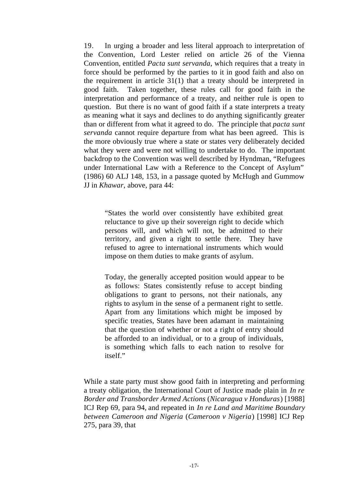19. In urging a broader and less literal approach to interpretation of the Convention, Lord Lester relied on article 26 of the Vienna Convention, entitled *Pacta sunt servanda*, which requires that a treaty in force should be performed by the parties to it in good faith and also on the requirement in article 31(1) that a treaty should be interpreted in good faith. Taken together, these rules call for good faith in the interpretation and performance of a treaty, and neither rule is open to question. But there is no want of good faith if a state interprets a treaty as meaning what it says and declines to do anything significantly greater than or different from what it agreed to do. The principle that *pacta sunt servanda* cannot require departure from what has been agreed. This is the more obviously true where a state or states very deliberately decided what they were and were not willing to undertake to do. The important backdrop to the Convention was well described by Hyndman, "Refugees under International Law with a Reference to the Concept of Asylum" (1986) 60 ALJ 148, 153, in a passage quoted by McHugh and Gummow JJ in *Khawar*, above, para 44:

"States the world over consistently have exhibited great reluctance to give up their sovereign right to decide which persons will, and which will not, be admitted to their territory, and given a right to settle there. They have refused to agree to international instruments which would impose on them duties to make grants of asylum.

Today, the generally accepted position would appear to be as follows: States consistently refuse to accept binding obligations to grant to persons, not their nationals, any rights to asylum in the sense of a permanent right to settle. Apart from any limitations which might be imposed by specific treaties, States have been adamant in maintaining that the question of whether or not a right of entry should be afforded to an individual, or to a group of individuals, is something which falls to each nation to resolve for itself."

While a state party must show good faith in interpreting and performing a treaty obligation, the International Court of Justice made plain in *In re Border and Transborder Armed Actions* (*Nicaragua v Honduras*) [1988] ICJ Rep 69, para 94, and repeated in *In re Land and Maritime Boundary between Cameroon and Nigeria* (*Cameroon v Nigeria*) [1998] ICJ Rep 275, para 39, that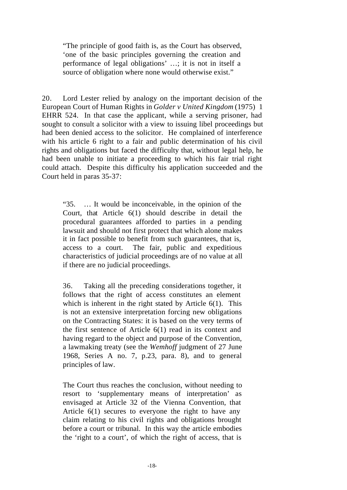"The principle of good faith is, as the Court has observed, 'one of the basic principles governing the creation and performance of legal obligations' …; it is not in itself a source of obligation where none would otherwise exist."

20. Lord Lester relied by analogy on the important decision of the European Court of Human Rights in *Golder v United Kingdom* (1975) 1 EHRR 524. In that case the applicant, while a serving prisoner, had sought to consult a solicitor with a view to issuing libel proceedings but had been denied access to the solicitor. He complained of interference with his article 6 right to a fair and public determination of his civil rights and obligations but faced the difficulty that, without legal help, he had been unable to initiate a proceeding to which his fair trial right could attach. Despite this difficulty his application succeeded and the Court held in paras 35-37:

"35. … It would be inconceivable, in the opinion of the Court, that Article 6(1) should describe in detail the procedural guarantees afforded to parties in a pending lawsuit and should not first protect that which alone makes it in fact possible to benefit from such guarantees, that is, access to a court. The fair, public and expeditious characteristics of judicial proceedings are of no value at all if there are no judicial proceedings.

36. Taking all the preceding considerations together, it follows that the right of access constitutes an element which is inherent in the right stated by Article 6(1). This is not an extensive interpretation forcing new obligations on the Contracting States: it is based on the very terms of the first sentence of Article 6(1) read in its context and having regard to the object and purpose of the Convention, a lawmaking treaty (see the *Wemhoff* judgment of 27 June 1968, Series A no. 7, p.23, para. 8), and to general principles of law.

The Court thus reaches the conclusion, without needing to resort to 'supplementary means of interpretation' as envisaged at Article 32 of the Vienna Convention, that Article 6(1) secures to everyone the right to have any claim relating to his civil rights and obligations brought before a court or tribunal. In this way the article embodies the 'right to a court', of which the right of access, that is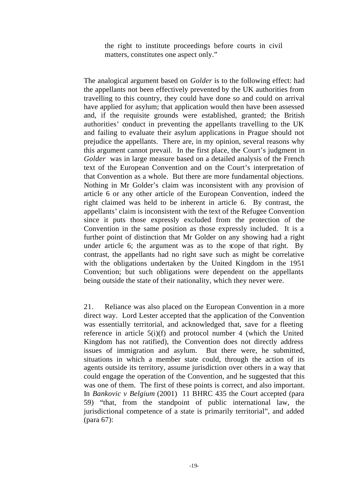the right to institute proceedings before courts in civil matters, constitutes one aspect only."

The analogical argument based on *Golder* is to the following effect: had the appellants not been effectively prevented by the UK authorities from travelling to this country, they could have done so and could on arrival have applied for asylum; that application would then have been assessed and, if the requisite grounds were established, granted; the British authorities' conduct in preventing the appellants travelling to the UK and failing to evaluate their asylum applications in Prague should not prejudice the appellants. There are, in my opinion, several reasons why this argument cannot prevail. In the first place, the Court's judgment in *Golder* was in large measure based on a detailed analysis of the French text of the European Convention and on the Court's interpretation of that Convention as a whole. But there are more fundamental objections. Nothing in Mr Golder's claim was inconsistent with any provision of article 6 or any other article of the European Convention, indeed the right claimed was held to be inherent in article 6. By contrast, the appellants' claim is inconsistent with the text of the Refugee Convention since it puts those expressly excluded from the protection of the Convention in the same position as those expressly included. It is a further point of distinction that Mr Golder on any showing had a right under article 6; the argument was as to the scope of that right. By contrast, the appellants had no right save such as might be correlative with the obligations undertaken by the United Kingdom in the 1951 Convention; but such obligations were dependent on the appellants being outside the state of their nationality, which they never were.

21. Reliance was also placed on the European Convention in a more direct way. Lord Lester accepted that the application of the Convention was essentially territorial, and acknowledged that, save for a fleeting reference in article  $5(i)(f)$  and protocol number 4 (which the United Kingdom has not ratified), the Convention does not directly address issues of immigration and asylum. But there were, he submitted, situations in which a member state could, through the action of its agents outside its territory, assume jurisdiction over others in a way that could engage the operation of the Convention, and he suggested that this was one of them. The first of these points is correct, and also important. In *Bankovic v Belgium* (2001) 11 BHRC 435 the Court accepted (para 59) "that, from the standpoint of public international law, the jurisdictional competence of a state is primarily territorial", and added (para 67):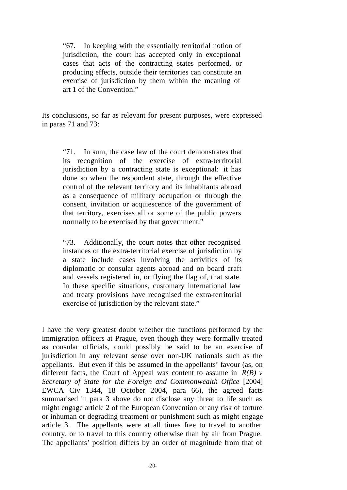"67. In keeping with the essentially territorial notion of jurisdiction, the court has accepted only in exceptional cases that acts of the contracting states performed, or producing effects, outside their territories can constitute an exercise of jurisdiction by them within the meaning of art 1 of the Convention."

Its conclusions, so far as relevant for present purposes, were expressed in paras 71 and 73:

"71. In sum, the case law of the court demonstrates that its recognition of the exercise of extra-territorial jurisdiction by a contracting state is exceptional: it has done so when the respondent state, through the effective control of the relevant territory and its inhabitants abroad as a consequence of military occupation or through the consent, invitation or acquiescence of the government of that territory, exercises all or some of the public powers normally to be exercised by that government."

"73. Additionally, the court notes that other recognised instances of the extra-territorial exercise of jurisdiction by a state include cases involving the activities of its diplomatic or consular agents abroad and on board craft and vessels registered in, or flying the flag of, that state. In these specific situations, customary international law and treaty provisions have recognised the extra-territorial exercise of jurisdiction by the relevant state."

I have the very greatest doubt whether the functions performed by the immigration officers at Prague, even though they were formally treated as consular officials, could possibly be said to be an exercise of jurisdiction in any relevant sense over non-UK nationals such as the appellants. But even if this be assumed in the appellants' favour (as, on different facts, the Court of Appeal was content to assume in  $R(B)$  v *Secretary of State for the Foreign and Commonwealth Office* [2004] EWCA Civ 1344, 18 October 2004, para 66), the agreed facts summarised in para 3 above do not disclose any threat to life such as might engage article 2 of the European Convention or any risk of torture or inhuman or degrading treatment or punishment such as might engage article 3. The appellants were at all times free to travel to another country, or to travel to this country otherwise than by air from Prague. The appellants' position differs by an order of magnitude from that of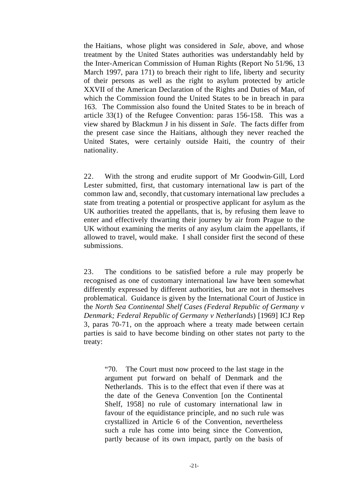the Haitians, whose plight was considered in *Sale,* above, and whose treatment by the United States authorities was understandably held by the Inter-American Commission of Human Rights (Report No 51/96, 13 March 1997, para 171) to breach their right to life, liberty and security of their persons as well as the right to asylum protected by article XXVII of the American Declaration of the Rights and Duties of Man, of which the Commission found the United States to be in breach in para 163. The Commission also found the United States to be in breach of article 33(1) of the Refugee Convention: paras 156-158. This was a view shared by Blackmun J in his dissent in *Sale*. The facts differ from the present case since the Haitians, although they never reached the United States, were certainly outside Haiti, the country of their nationality.

22. With the strong and erudite support of Mr Goodwin-Gill, Lord Lester submitted, first, that customary international law is part of the common law and, secondly, that customary international law precludes a state from treating a potential or prospective applicant for asylum as the UK authorities treated the appellants, that is, by refusing them leave to enter and effectively thwarting their journey by air from Prague to the UK without examining the merits of any asylum claim the appellants, if allowed to travel, would make. I shall consider first the second of these submissions.

23. The conditions to be satisfied before a rule may properly be recognised as one of customary international law have been somewhat differently expressed by different authorities, but are not in themselves problematical. Guidance is given by the International Court of Justice in the *North Sea Continental Shelf Cases (Federal Republic of Germany v Denmark; Federal Republic of Germany v Netherlands*) [1969] ICJ Rep 3, paras 70-71, on the approach where a treaty made between certain parties is said to have become binding on other states not party to the treaty:

"70. The Court must now proceed to the last stage in the argument put forward on behalf of Denmark and the Netherlands. This is to the effect that even if there was at the date of the Geneva Convention [on the Continental Shelf, 1958] no rule of customary international law in favour of the equidistance principle, and no such rule was crystallized in Article 6 of the Convention, nevertheless such a rule has come into being since the Convention, partly because of its own impact, partly on the basis of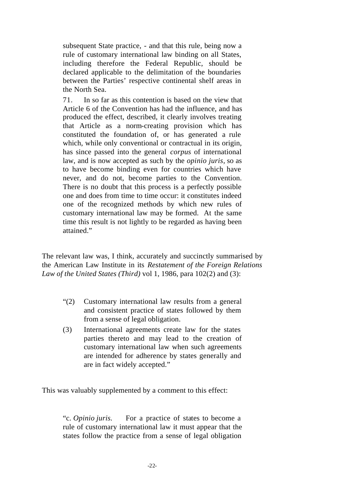subsequent State practice, - and that this rule, being now a rule of customary international law binding on all States, including therefore the Federal Republic, should be declared applicable to the delimitation of the boundaries between the Parties' respective continental shelf areas in the North Sea.

71. In so far as this contention is based on the view that Article 6 of the Convention has had the influence, and has produced the effect, described, it clearly involves treating that Article as a norm-creating provision which has constituted the foundation of, or has generated a rule which, while only conventional or contractual in its origin, has since passed into the general *corpus* of international law, and is now accepted as such by the *opinio juris,* so as to have become binding even for countries which have never, and do not, become parties to the Convention. There is no doubt that this process is a perfectly possible one and does from time to time occur: it constitutes indeed one of the recognized methods by which new rules of customary international law may be formed. At the same time this result is not lightly to be regarded as having been attained."

The relevant law was, I think, accurately and succinctly summarised by the American Law Institute in its *Restatement of the Foreign Relations Law of the United States (Third)* vol 1, 1986, para 102(2) and (3):

- "(2) Customary international law results from a general and consistent practice of states followed by them from a sense of legal obligation.
- (3) International agreements create law for the states parties thereto and may lead to the creation of customary international law when such agreements are intended for adherence by states generally and are in fact widely accepted."

This was valuably supplemented by a comment to this effect:

"c. *Opinio juris.* For a practice of states to become a rule of customary international law it must appear that the states follow the practice from a sense of legal obligation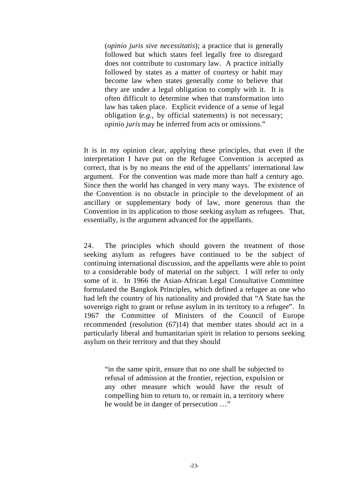(*opinio juris sive necessitatis*); a practice that is generally followed but which states feel legally free to disregard does not contribute to customary law. A practice initially followed by states as a matter of courtesy or habit may become law when states generally come to believe that they are under a legal obligation to comply with it. It is often difficult to determine when that transformation into law has taken place. Explicit evidence of a sense of legal obligation (*e.g.,* by official statements) is not necessary; *opinio juris* may be inferred from acts or omissions."

It is in my opinion clear, applying these principles, that even if the interpretation I have put on the Refugee Convention is accepted as correct, that is by no means the end of the appellants' international law argument. For the convention was made more than half a century ago. Since then the world has changed in very many ways. The existence of the Convention is no obstacle in principle to the development of an ancillary or supplementary body of law, more generous than the Convention in its application to those seeking asylum as refugees. That, essentially, is the argument advanced for the appellants.

24. The principles which should govern the treatment of those seeking asylum as refugees have continued to be the subject of continuing international discussion, and the appellants were able to point to a considerable body of material on the subject. I will refer to only some of it. In 1966 the Asian-African Legal Consultative Committee formulated the Bangkok Principles, which defined a refugee as one who had left the country of his nationality and provided that "A State has the sovereign right to grant or refuse asylum in its territory to a refugee". In 1967 the Committee of Ministers of the Council of Europe recommended (resolution (67)14) that member states should act in a particularly liberal and humanitarian spirit in relation to persons seeking asylum on their territory and that they should

"in the same spirit, ensure that no one shall be subjected to refusal of admission at the frontier, rejection, expulsion or any other measure which would have the result of compelling him to return to, or remain in, a territory where he would be in danger of persecution …"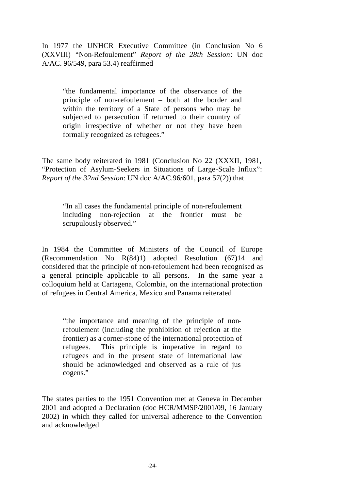In 1977 the UNHCR Executive Committee (in Conclusion No 6 (XXVIII) "Non-Refoulement" *Report of the 28th Session*: UN doc A/AC. 96/549, para 53.4) reaffirmed

"the fundamental importance of the observance of the principle of non-refoulement – both at the border and within the territory of a State of persons who may be subjected to persecution if returned to their country of origin irrespective of whether or not they have been formally recognized as refugees."

The same body reiterated in 1981 (Conclusion No 22 (XXXII, 1981, "Protection of Asylum-Seekers in Situations of Large-Scale Influx": *Report of the 32nd Session*: UN doc A/AC.96/601, para 57(2)) that

"In all cases the fundamental principle of non-refoulement including non-rejection at the frontier must be scrupulously observed."

In 1984 the Committee of Ministers of the Council of Europe (Recommendation No R(84)1) adopted Resolution (67)14 and considered that the principle of non-refoulement had been recognised as a general principle applicable to all persons. In the same year a colloquium held at Cartagena, Colombia, on the international protection of refugees in Central America, Mexico and Panama reiterated

"the importance and meaning of the principle of nonrefoulement (including the prohibition of rejection at the frontier) as a corner-stone of the international protection of refugees. This principle is imperative in regard to refugees and in the present state of international law should be acknowledged and observed as a rule of jus cogens."

The states parties to the 1951 Convention met at Geneva in December 2001 and adopted a Declaration (doc HCR/MMSP/2001/09, 16 January 2002) in which they called for universal adherence to the Convention and acknowledged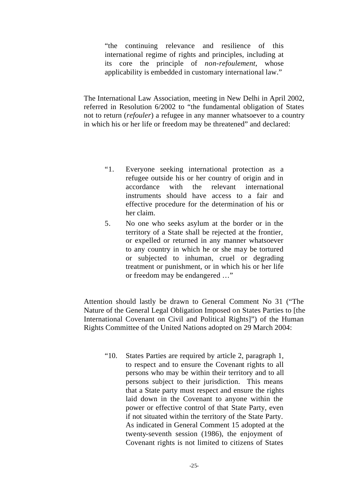"the continuing relevance and resilience of this international regime of rights and principles, including at its core the principle of *non-refoulement*, whose applicability is embedded in customary international law."

The International Law Association, meeting in New Delhi in April 2002, referred in Resolution 6/2002 to "the fundamental obligation of States not to return (*refouler*) a refugee in any manner whatsoever to a country in which his or her life or freedom may be threatened" and declared:

- "1. Everyone seeking international protection as a refugee outside his or her country of origin and in accordance with the relevant international instruments should have access to a fair and effective procedure for the determination of his or her claim.
- 5. No one who seeks asylum at the border or in the territory of a State shall be rejected at the frontier, or expelled or returned in any manner whatsoever to any country in which he or she may be tortured or subjected to inhuman, cruel or degrading treatment or punishment, or in which his or her life or freedom may be endangered …"

Attention should lastly be drawn to General Comment No 31 ("The Nature of the General Legal Obligation Imposed on States Parties to [the International Covenant on Civil and Political Rights]") of the Human Rights Committee of the United Nations adopted on 29 March 2004:

"10. States Parties are required by article 2, paragraph 1, to respect and to ensure the Covenant rights to all persons who may be within their territory and to all persons subject to their jurisdiction. This means that a State party must respect and ensure the rights laid down in the Covenant to anyone within the power or effective control of that State Party, even if not situated within the territory of the State Party. As indicated in General Comment 15 adopted at the twenty-seventh session (1986), the enjoyment of Covenant rights is not limited to citizens of States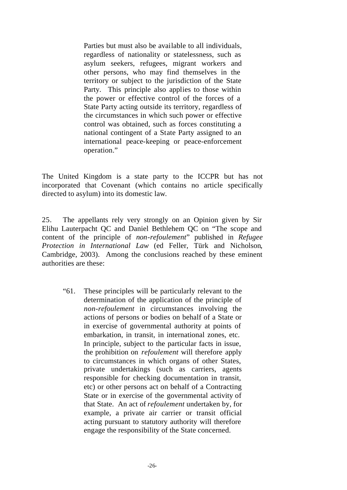Parties but must also be available to all individuals, regardless of nationality or statelessness, such as asylum seekers, refugees, migrant workers and other persons, who may find themselves in the territory or subject to the jurisdiction of the State Party. This principle also applies to those within the power or effective control of the forces of a State Party acting outside its territory, regardless of the circumstances in which such power or effective control was obtained, such as forces constituting a national contingent of a State Party assigned to an international peace-keeping or peace-enforcement operation."

The United Kingdom is a state party to the ICCPR but has not incorporated that Covenant (which contains no article specifically directed to asylum) into its domestic law.

25. The appellants rely very strongly on an Opinion given by Sir Elihu Lauterpacht QC and Daniel Bethlehem QC on "The scope and content of the principle of *non-refoulement*" published in *Refugee Protection in International Law* (ed Feller, Türk and Nicholson, Cambridge, 2003). Among the conclusions reached by these eminent authorities are these:

"61. These principles will be particularly relevant to the determination of the application of the principle of *non-refoulement* in circumstances involving the actions of persons or bodies on behalf of a State or in exercise of governmental authority at points of embarkation, in transit, in international zones, etc. In principle, subject to the particular facts in issue, the prohibition on *refoulement* will therefore apply to circumstances in which organs of other States, private undertakings (such as carriers, agents responsible for checking documentation in transit, etc) or other persons act on behalf of a Contracting State or in exercise of the governmental activity of that State. An act of *refoulement* undertaken by, for example, a private air carrier or transit official acting pursuant to statutory authority will therefore engage the responsibility of the State concerned.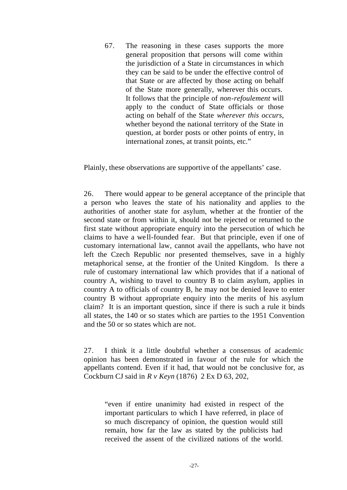67. The reasoning in these cases supports the more general proposition that persons will come within the jurisdiction of a State in circumstances in which they can be said to be under the effective control of that State or are affected by those acting on behalf of the State more generally, wherever this occurs. It follows that the principle of *non-refoulement* will apply to the conduct of State officials or those acting on behalf of the State *wherever this occurs*, whether beyond the national territory of the State in question, at border posts or other points of entry, in international zones, at transit points, etc."

Plainly, these observations are supportive of the appellants' case.

26. There would appear to be general acceptance of the principle that a person who leaves the state of his nationality and applies to the authorities of another state for asylum, whether at the frontier of the second state or from within it, should not be rejected or returned to the first state without appropriate enquiry into the persecution of which he claims to have a we ll-founded fear. But that principle, even if one of customary international law, cannot avail the appellants, who have not left the Czech Republic nor presented themselves, save in a highly metaphorical sense, at the frontier of the United Kingdom. Is there a rule of customary international law which provides that if a national of country A, wishing to travel to country B to claim asylum, applies in country A to officials of country B, he may not be denied leave to enter country B without appropriate enquiry into the merits of his asylum claim? It is an important question, since if there is such a rule it binds all states, the 140 or so states which are parties to the 1951 Convention and the 50 or so states which are not.

27. I think it a little doubtful whether a consensus of academic opinion has been demonstrated in favour of the rule for which the appellants contend. Even if it had, that would not be conclusive for, as Cockburn CJ said in *R v Keyn* (1876) 2 Ex D 63, 202,

"even if entire unanimity had existed in respect of the important particulars to which I have referred, in place of so much discrepancy of opinion, the question would still remain, how far the law as stated by the publicists had received the assent of the civilized nations of the world.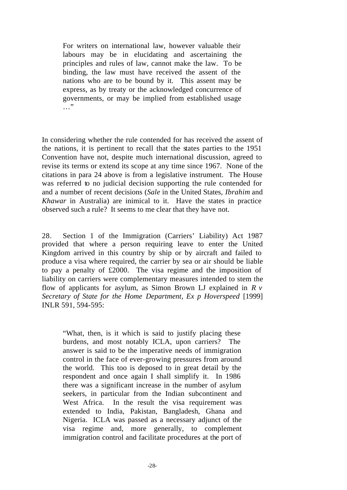For writers on international law, however valuable their labours may be in elucidating and ascertaining the principles and rules of law, cannot make the law. To be binding, the law must have received the assent of the nations who are to be bound by it. This assent may be express, as by treaty or the acknowledged concurrence of governments, or may be implied from established usage …"

In considering whether the rule contended for has received the assent of the nations, it is pertinent to recall that the states parties to the 1951 Convention have not, despite much international discussion, agreed to revise its terms or extend its scope at any time since 1967. None of the citations in para 24 above is from a legislative instrument. The House was referred to no judicial decision supporting the rule contended for and a number of recent decisions (*Sale* in the United States, *Ibrahim* and *Khawar* in Australia) are inimical to it. Have the states in practice observed such a rule? It seems to me clear that they have not.

28. Section 1 of the Immigration (Carriers' Liability) Act 1987 provided that where a person requiring leave to enter the United Kingdom arrived in this country by ship or by aircraft and failed to produce a visa where required, the carrier by sea or air should be liable to pay a penalty of £2000. The visa regime and the imposition of liability on carriers were complementary measures intended to stem the flow of applicants for asylum, as Simon Brown LJ explained in *R v Secretary of State for the Home Department, Ex p Hoverspeed* [1999] INLR 591, 594-595:

"What, then, is it which is said to justify placing these burdens, and most notably ICLA, upon carriers? The answer is said to be the imperative needs of immigration control in the face of ever-growing pressures from around the world. This too is deposed to in great detail by the respondent and once again I shall simplify it. In 1986 there was a significant increase in the number of asylum seekers, in particular from the Indian subcontinent and West Africa. In the result the visa requirement was extended to India, Pakistan, Bangladesh, Ghana and Nigeria. ICLA was passed as a necessary adjunct of the visa regime and, more generally, to complement immigration control and facilitate procedures at the port of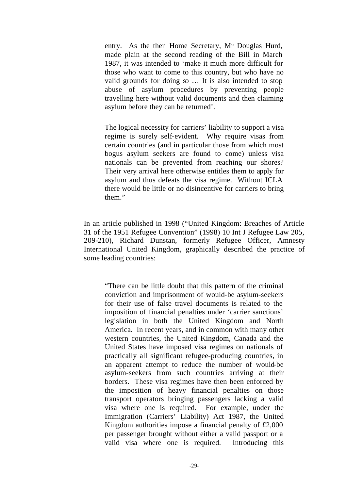entry. As the then Home Secretary, Mr Douglas Hurd, made plain at the second reading of the Bill in March 1987, it was intended to 'make it much more difficult for those who want to come to this country, but who have no valid grounds for doing so … It is also intended to stop abuse of asylum procedures by preventing people travelling here without valid documents and then claiming asylum before they can be returned'.

The logical necessity for carriers' liability to support a visa regime is surely self-evident. Why require visas from certain countries (and in particular those from which most bogus asylum seekers are found to come) unless visa nationals can be prevented from reaching our shores? Their very arrival here otherwise entitles them to apply for asylum and thus defeats the visa regime. Without ICLA there would be little or no disincentive for carriers to bring them."

In an article published in 1998 ("United Kingdom: Breaches of Article 31 of the 1951 Refugee Convention" (1998) 10 Int J Refugee Law 205, 209-210), Richard Dunstan, formerly Refugee Officer, Amnesty International United Kingdom, graphically described the practice of some leading countries:

"There can be little doubt that this pattern of the criminal conviction and imprisonment of would-be asylum-seekers for their use of false travel documents is related to the imposition of financial penalties under 'carrier sanctions' legislation in both the United Kingdom and North America. In recent years, and in common with many other western countries, the United Kingdom, Canada and the United States have imposed visa regimes on nationals of practically all significant refugee-producing countries, in an apparent attempt to reduce the number of would-be asylum-seekers from such countries arriving at their borders. These visa regimes have then been enforced by the imposition of heavy financial penalties on those transport operators bringing passengers lacking a valid visa where one is required. For example, under the Immigration (Carriers' Liability) Act 1987, the United Kingdom authorities impose a financial penalty of £2,000 per passenger brought without either a valid passport or a valid visa where one is required. Introducing this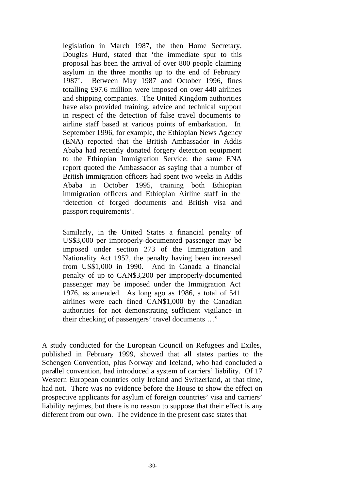legislation in March 1987, the then Home Secretary, Douglas Hurd, stated that 'the immediate spur to this proposal has been the arrival of over 800 people claiming asylum in the three months up to the end of February 1987'. Between May 1987 and October 1996, fines totalling £97.6 million were imposed on over 440 airlines and shipping companies. The United Kingdom authorities have also provided training, advice and technical support in respect of the detection of false travel documents to airline staff based at various points of embarkation. In September 1996, for example, the Ethiopian News Agency (ENA) reported that the British Ambassador in Addis Ababa had recently donated forgery detection equipment to the Ethiopian Immigration Service; the same ENA report quoted the Ambassador as saying that a number of British immigration officers had spent two weeks in Addis Ababa in October 1995, training both Ethiopian immigration officers and Ethiopian Airline staff in the 'detection of forged documents and British visa and passport requirements'.

Similarly, in the United States a financial penalty of US\$3,000 per improperly-documented passenger may be imposed under section 273 of the Immigration and Nationality Act 1952, the penalty having been increased from US\$1,000 in 1990. And in Canada a financial penalty of up to CAN\$3,200 per improperly-documented passenger may be imposed under the Immigration Act 1976, as amended. As long ago as 1986, a total of 541 airlines were each fined CAN\$1,000 by the Canadian authorities for not demonstrating sufficient vigilance in their checking of passengers' travel documents …"

A study conducted for the European Council on Refugees and Exiles, published in February 1999, showed that all states parties to the Schengen Convention, plus Norway and Iceland, who had concluded a parallel convention, had introduced a system of carriers' liability. Of 17 Western European countries only Ireland and Switzerland, at that time, had not. There was no evidence before the House to show the effect on prospective applicants for asylum of foreign countries' visa and carriers' liability regimes, but there is no reason to suppose that their effect is any different from our own. The evidence in the present case states that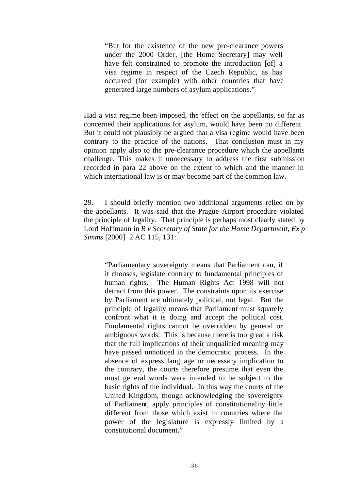"But for the existence of the new pre-clearance powers under the 2000 Order, [the Home Secretary] may well have felt constrained to promote the introduction [of] a visa regime in respect of the Czech Republic, as has occurred (for example) with other countries that have generated large numbers of asylum applications."

Had a visa regime been imposed, the effect on the appellants, so far as concerned their applications for asylum, would have been no different. But it could not plausibly be argued that a visa regime would have been contrary to the practice of the nations. That conclusion must in my opinion apply also to the pre-clearance procedure which the appellants challenge. This makes it unnecessary to address the first submission recorded in para 22 above on the extent to which and the manner in which international law is or may become part of the common law.

29. I should briefly mention two additional arguments relied on by the appellants. It was said that the Prague Airport procedure violated the principle of legality. That principle is perhaps most clearly stated by Lord Hoffmann in *R v Secretary of State for the Home Department, Ex p Simms* [2000] 2 AC 115, 131:

"Parliamentary sovereignty means that Parliament can, if it chooses, legislate contrary to fundamental principles of human rights. The Human Rights Act 1998 will not detract from this power. The constraints upon its exercise by Parliament are ultimately political, not legal. But the principle of legality means that Parliament must squarely confront what it is doing and accept the political cost. Fundamental rights cannot be overridden by general or ambiguous words. This is because there is too great a risk that the full implications of their unqualified meaning may have passed unnoticed in the democratic process. In the absence of express language or necessary implication to the contrary, the courts therefore presume that even the most general words were intended to be subject to the basic rights of the individual. In this way the courts of the United Kingdom, though acknowledging the sovereignty of Parliament, apply principles of constitutionality little different from those which exist in countries where the power of the legislature is expressly limited by a constitutional document."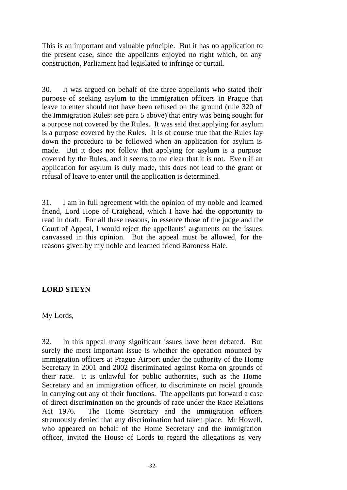This is an important and valuable principle. But it has no application to the present case, since the appellants enjoyed no right which, on any construction, Parliament had legislated to infringe or curtail.

30. It was argued on behalf of the three appellants who stated their purpose of seeking asylum to the immigration officers in Prague that leave to enter should not have been refused on the ground (rule 320 of the Immigration Rules: see para 5 above) that entry was being sought for a purpose not covered by the Rules. It was said that applying for asylum is a purpose covered by the Rules. It is of course true that the Rules lay down the procedure to be followed when an application for asylum is made. But it does not follow that applying for asylum is a purpose covered by the Rules, and it seems to me clear that it is not. Eve n if an application for asylum is duly made, this does not lead to the grant or refusal of leave to enter until the application is determined.

31. I am in full agreement with the opinion of my noble and learned friend, Lord Hope of Craighead, which I have had the opportunity to read in draft. For all these reasons, in essence those of the judge and the Court of Appeal, I would reject the appellants' arguments on the issues canvassed in this opinion. But the appeal must be allowed, for the reasons given by my noble and learned friend Baroness Hale.

# **LORD STEYN**

My Lords,

32. In this appeal many significant issues have been debated. But surely the most important issue is whether the operation mounted by immigration officers at Prague Airport under the authority of the Home Secretary in 2001 and 2002 discriminated against Roma on grounds of their race. It is unlawful for public authorities, such as the Home Secretary and an immigration officer, to discriminate on racial grounds in carrying out any of their functions. The appellants put forward a case of direct discrimination on the grounds of race under the Race Relations Act 1976. The Home Secretary and the immigration officers strenuously denied that any discrimination had taken place. Mr Howell, who appeared on behalf of the Home Secretary and the immigration officer, invited the House of Lords to regard the allegations as very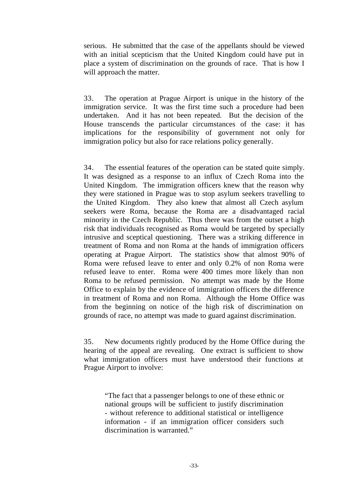serious. He submitted that the case of the appellants should be viewed with an initial scepticism that the United Kingdom could have put in place a system of discrimination on the grounds of race. That is how I will approach the matter.

33. The operation at Prague Airport is unique in the history of the immigration service. It was the first time such a procedure had been undertaken. And it has not been repeated. But the decision of the House transcends the particular circumstances of the case: it has implications for the responsibility of government not only for immigration policy but also for race relations policy generally.

34. The essential features of the operation can be stated quite simply. It was designed as a response to an influx of Czech Roma into the United Kingdom. The immigration officers knew that the reason why they were stationed in Prague was to stop asylum seekers travelling to the United Kingdom. They also knew that almost all Czech asylum seekers were Roma, because the Roma are a disadvantaged racial minority in the Czech Republic. Thus there was from the outset a high risk that individuals recognised as Roma would be targeted by specially intrusive and sceptical questioning. There was a striking difference in treatment of Roma and non Roma at the hands of immigration officers operating at Prague Airport. The statistics show that almost 90% of Roma were refused leave to enter and only 0.2% of non Roma were refused leave to enter. Roma were 400 times more likely than non Roma to be refused permission. No attempt was made by the Home Office to explain by the evidence of immigration officers the difference in treatment of Roma and non Roma. Although the Home Office was from the beginning on notice of the high risk of discrimination on grounds of race, no attempt was made to guard against discrimination.

35. New documents rightly produced by the Home Office during the hearing of the appeal are revealing. One extract is sufficient to show what immigration officers must have understood their functions at Prague Airport to involve:

"The fact that a passenger belongs to one of these ethnic or national groups will be sufficient to justify discrimination - without reference to additional statistical or intelligence information - if an immigration officer considers such discrimination is warranted."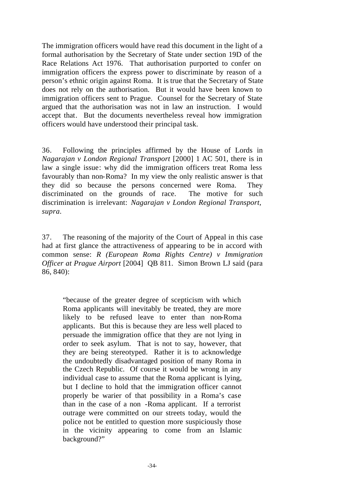The immigration officers would have read this document in the light of a formal authorisation by the Secretary of State under section 19D of the Race Relations Act 1976. That authorisation purported to confer on immigration officers the express power to discriminate by reason of a person's ethnic origin against Roma. It is true that the Secretary of State does not rely on the authorisation. But it would have been known to immigration officers sent to Prague. Counsel for the Secretary of State argued that the authorisation was not in law an instruction. I would accept that. But the documents nevertheless reveal how immigration officers would have understood their principal task.

36. Following the principles affirmed by the House of Lords in *Nagarajan v London Regional Transport* [2000] 1 AC 501, there is in law a single issue: why did the immigration officers treat Roma less favourably than non-Roma? In my view the only realistic answer is that they did so because the persons concerned were Roma. They discriminated on the grounds of race. The motive for such discrimination is irrelevant: *Nagarajan v London Regional Transport, supra.*

37. The reasoning of the majority of the Court of Appeal in this case had at first glance the attractiveness of appearing to be in accord with common sense: *R (European Roma Rights Centre) v Immigration Officer at Prague Airport* [2004] QB 811. Simon Brown LJ said (para 86, 840):

"because of the greater degree of scepticism with which Roma applicants will inevitably be treated, they are more likely to be refused leave to enter than non-Roma applicants. But this is because they are less well placed to persuade the immigration office that they are not lying in order to seek asylum. That is not to say, however, that they are being stereotyped. Rather it is to acknowledge the undoubtedly disadvantaged position of many Roma in the Czech Republic. Of course it would be wrong in any individual case to assume that the Roma applicant is lying, but I decline to hold that the immigration officer cannot properly be warier of that possibility in a Roma's case than in the case of a non -Roma applicant. If a terrorist outrage were committed on our streets today, would the police not be entitled to question more suspiciously those in the vicinity appearing to come from an Islamic background?"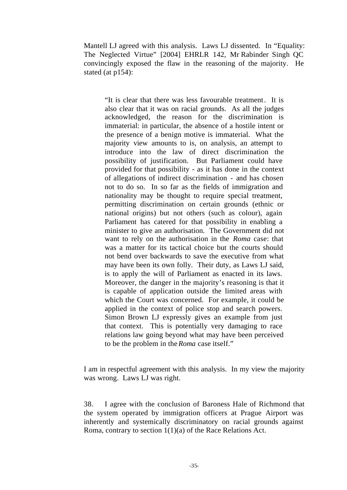Mantell LJ agreed with this analysis. Laws LJ dissented. In "Equality: The Neglected Virtue" [2004] EHRLR 142, Mr Rabinder Singh QC convincingly exposed the flaw in the reasoning of the majority. He stated (at p154):

"It is clear that there was less favourable treatment. It is also clear that it was on racial grounds. As all the judges acknowledged, the reason for the discrimination is immaterial: in particular, the absence of a hostile intent or the presence of a benign motive is immaterial. What the majority view amounts to is, on analysis, an attempt to introduce into the law of direct discrimination the possibility of justification. But Parliament could have provided for that possibility - as it has done in the context of allegations of indirect discrimination - and has chosen not to do so. In so far as the fields of immigration and nationality may be thought to require special treatment, permitting discrimination on certain grounds (ethnic or national origins) but not others (such as colour), again Parliament has catered for that possibility in enabling a minister to give an authorisation. The Government did not want to rely on the authorisation in the *Roma* case: that was a matter for its tactical choice but the courts should not bend over backwards to save the executive from what may have been its own folly. Their duty, as Laws LJ said, is to apply the will of Parliament as enacted in its laws. Moreover, the danger in the majority's reasoning is that it is capable of application outside the limited areas with which the Court was concerned. For example, it could be applied in the context of police stop and search powers. Simon Brown LJ expressly gives an example from just that context. This is potentially very damaging to race relations law going beyond what may have been perceived to be the problem in the *Roma* case itself."

I am in respectful agreement with this analysis. In my view the majority was wrong. Laws LJ was right.

38. I agree with the conclusion of Baroness Hale of Richmond that the system operated by immigration officers at Prague Airport was inherently and systemically discriminatory on racial grounds against Roma, contrary to section 1(1)(a) of the Race Relations Act.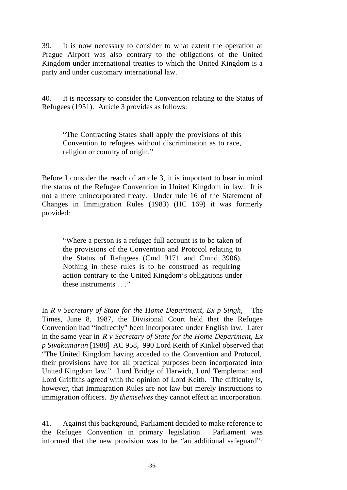39. It is now necessary to consider to what extent the operation at Prague Airport was also contrary to the obligations of the United Kingdom under international treaties to which the United Kingdom is a party and under customary international law.

40. It is necessary to consider the Convention relating to the Status of Refugees (1951). Article 3 provides as follows:

"The Contracting States shall apply the provisions of this Convention to refugees without discrimination as to race, religion or country of origin."

Before I consider the reach of article 3, it is important to bear in mind the status of the Refugee Convention in United Kingdom in law. It is not a mere unincorporated treaty. Under rule 16 of the Statement of Changes in Immigration Rules (1983) (HC 169) it was formerly provided:

"Where a person is a refugee full account is to be taken of the provisions of the Convention and Protocol relating to the Status of Refugees (Cmd 9171 and Cmnd 3906). Nothing in these rules is to be construed as requiring action contrary to the United Kingdom's obligations under these instruments . . . "

In *R v Secretary of State for the Home Department, Ex p Singh,* The Times, June 8, 1987, the Divisional Court held that the Refugee Convention had "indirectly" been incorporated under English law. Later in the same year in *R v Secretary of State for the Home Department, Ex p Sivakumaran* [1988] AC 958, 990 Lord Keith of Kinkel observed that "The United Kingdom having acceded to the Convention and Protocol, their provisions have for all practical purposes been incorporated into United Kingdom law." Lord Bridge of Harwich, Lord Templeman and Lord Griffiths agreed with the opinion of Lord Keith. The difficulty is, however, that Immigration Rules are not law but merely instructions to immigration officers. *By themselves* they cannot effect an incorporation.

41. Against this background, Parliament decided to make reference to the Refugee Convention in primary legislation. Parliament was informed that the new provision was to be "an additional safeguard":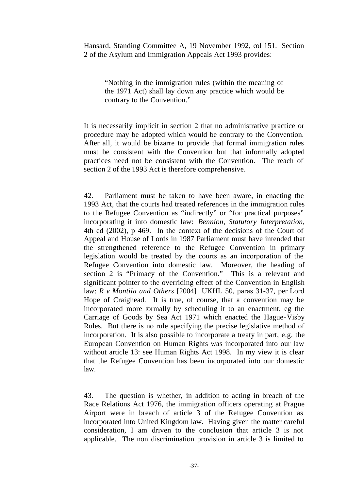Hansard, Standing Committee A, 19 November 1992, col 151. Section 2 of the Asylum and Immigration Appeals Act 1993 provides:

"Nothing in the immigration rules (within the meaning of the 1971 Act) shall lay down any practice which would be contrary to the Convention."

It is necessarily implicit in section 2 that no administrative practice or procedure may be adopted which would be contrary to the Convention. After all, it would be bizarre to provide that formal immigration rules must be consistent with the Convention but that informally adopted practices need not be consistent with the Convention. The reach of section 2 of the 1993 Act is therefore comprehensive.

42. Parliament must be taken to have been aware, in enacting the 1993 Act, that the courts had treated references in the immigration rules to the Refugee Convention as "indirectly" or "for practical purposes" incorporating it into domestic law: *Bennion, Statutory Interpretation,* 4th ed (2002), p 469. In the context of the decisions of the Court of Appeal and House of Lords in 1987 Parliament must have intended that the strengthened reference to the Refugee Convention in primary legislation would be treated by the courts as an incorporation of the Refugee Convention into domestic law. Moreover, the heading of section 2 is "Primacy of the Convention." This is a relevant and significant pointer to the overriding effect of the Convention in English law: *R v Montila and Others* [2004] UKHL 50, paras 31-37, per Lord Hope of Craighead. It is true, of course, that a convention may be incorporated more formally by scheduling it to an enactment, eg the Carriage of Goods by Sea Act 1971 which enacted the Hague-Visby Rules. But there is no rule specifying the precise legislative method of incorporation. It is also possible to incorporate a treaty in part, e.g. the European Convention on Human Rights was incorporated into our law without article 13: see Human Rights Act 1998. In my view it is clear that the Refugee Convention has been incorporated into our domestic law.

43. The question is whether, in addition to acting in breach of the Race Relations Act 1976, the immigration officers operating at Prague Airport were in breach of article 3 of the Refugee Convention as incorporated into United Kingdom law. Having given the matter careful consideration, I am driven to the conclusion that article 3 is not applicable. The non discrimination provision in article 3 is limited to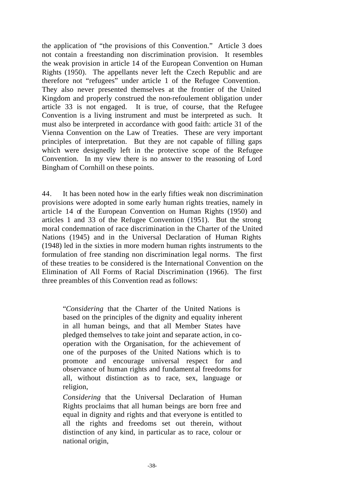the application of "the provisions of this Convention." Article 3 does not contain a freestanding non discrimination provision. It resembles the weak provision in article 14 of the European Convention on Human Rights (1950). The appellants never left the Czech Republic and are therefore not "refugees" under article 1 of the Refugee Convention. They also never presented themselves at the frontier of the United Kingdom and properly construed the non-refoulement obligation under article 33 is not engaged. It is true, of course, that the Refugee Convention is a living instrument and must be interpreted as such. It must also be interpreted in accordance with good faith: article 31 of the Vienna Convention on the Law of Treaties. These are very important principles of interpretation. But they are not capable of filling gaps which were designedly left in the protective scope of the Refugee Convention. In my view there is no answer to the reasoning of Lord Bingham of Cornhill on these points.

44. It has been noted how in the early fifties weak non discrimination provisions were adopted in some early human rights treaties, namely in article 14 of the European Convention on Human Rights (1950) and articles 1 and 33 of the Refugee Convention (1951). But the strong moral condemnation of race discrimination in the Charter of the United Nations (1945) and in the Universal Declaration of Human Rights (1948) led in the sixties in more modern human rights instruments to the formulation of free standing non discrimination legal norms. The first of these treaties to be considered is the International Convention on the Elimination of All Forms of Racial Discrimination (1966). The first three preambles of this Convention read as follows:

"*Considering* that the Charter of the United Nations is based on the principles of the dignity and equality inherent in all human beings, and that all Member States have pledged themselves to take joint and separate action, in cooperation with the Organisation, for the achievement of one of the purposes of the United Nations which is to promote and encourage universal respect for and observance of human rights and fundament al freedoms for all, without distinction as to race, sex, language or religion,

*Considering* that the Universal Declaration of Human Rights proclaims that all human beings are born free and equal in dignity and rights and that everyone is entitled to all the rights and freedoms set out therein, without distinction of any kind, in particular as to race, colour or national origin,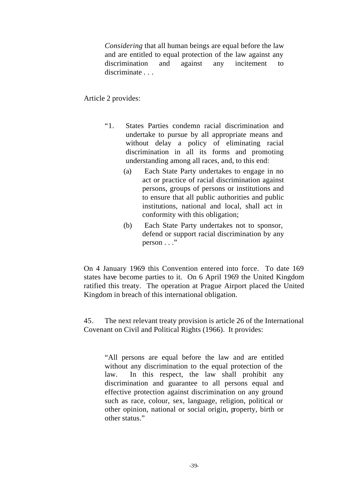*Considering* that all human beings are equal before the law and are entitled to equal protection of the law against any discrimination and against any incitement to discriminate . . .

# Article 2 provides:

- "1. States Parties condemn racial discrimination and undertake to pursue by all appropriate means and without delay a policy of eliminating racial discrimination in all its forms and promoting understanding among all races, and, to this end:
	- (a) Each State Party undertakes to engage in no act or practice of racial discrimination against persons, groups of persons or institutions and to ensure that all public authorities and public institutions, national and local, shall act in conformity with this obligation;
	- (b) Each State Party undertakes not to sponsor, defend or support racial discrimination by any person . . ."

On 4 January 1969 this Convention entered into force. To date 169 states have become parties to it. On 6 April 1969 the United Kingdom ratified this treaty. The operation at Prague Airport placed the United Kingdom in breach of this international obligation.

45. The next relevant treaty provision is article 26 of the International Covenant on Civil and Political Rights (1966). It provides:

"All persons are equal before the law and are entitled without any discrimination to the equal protection of the law. In this respect, the law shall prohibit any discrimination and guarantee to all persons equal and effective protection against discrimination on any ground such as race, colour, sex, language, religion, political or other opinion, national or social origin, property, birth or other status."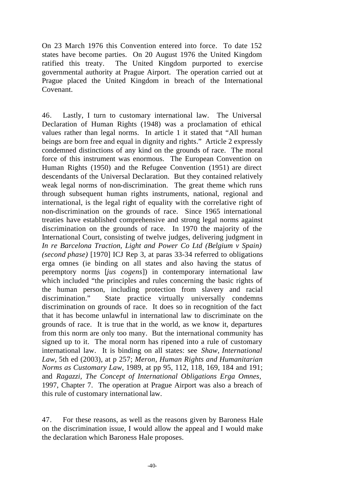On 23 March 1976 this Convention entered into force. To date 152 states have become parties. On 20 August 1976 the United Kingdom ratified this treaty. The United Kingdom purported to exercise governmental authority at Prague Airport. The operation carried out at Prague placed the United Kingdom in breach of the International Covenant.

46. Lastly, I turn to customary international law. The Universal Declaration of Human Rights (1948) was a proclamation of ethical values rather than legal norms. In article 1 it stated that "All human beings are born free and equal in dignity and rights." Article 2 expressly condemned distinctions of any kind on the grounds of race. The moral force of this instrument was enormous. The European Convention on Human Rights (1950) and the Refugee Convention (1951) are direct descendants of the Universal Declaration. But they contained relatively weak legal norms of non-discrimination. The great theme which runs through subsequent human rights instruments, national, regional and international, is the legal right of equality with the correlative right of non-discrimination on the grounds of race. Since 1965 international treaties have established comprehensive and strong legal norms against discrimination on the grounds of race. In 1970 the majority of the International Court, consisting of twelve judges, delivering judgment in *In re Barcelona Traction, Light and Power Co Ltd (Belgium v Spain) (second phase)* [1970] ICJ Rep 3, at paras 33-34 referred to obligations erga omnes (ie binding on all states and also having the status of peremptory norms [*jus cogens*]) in contemporary international law which included "the principles and rules concerning the basic rights of the human person, including protection from slavery and racial discrimination." State practice virtually universally condemns discrimination on grounds of race. It does so in recognition of the fact that it has become unlawful in international law to discriminate on the grounds of race. It is true that in the world, as we know it, departures from this norm are only too many. But the international community has signed up to it. The moral norm has ripened into a rule of customary international law. It is binding on all states: see *Shaw, International Law,* 5th ed (2003), at p 257; *Meron, Human Rights and Humanitarian Norms as Customary Law,* 1989, at pp 95, 112, 118, 169, 184 and 191; and *Ragazzi, The Concept of International Obligations Erga Omnes,*  1997, Chapter 7. The operation at Prague Airport was also a breach of this rule of customary international law.

47. For these reasons, as well as the reasons given by Baroness Hale on the discrimination issue, I would allow the appeal and I would make the declaration which Baroness Hale proposes.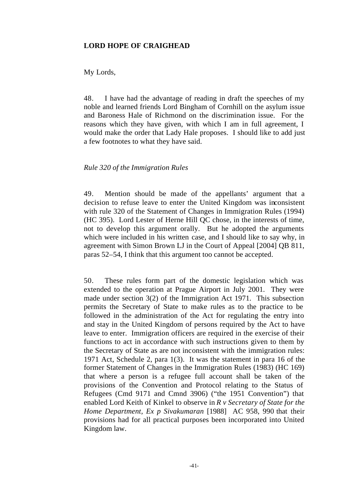# **LORD HOPE OF CRAIGHEAD**

## My Lords,

48. I have had the advantage of reading in draft the speeches of my noble and learned friends Lord Bingham of Cornhill on the asylum issue and Baroness Hale of Richmond on the discrimination issue. For the reasons which they have given, with which I am in full agreement, I would make the order that Lady Hale proposes. I should like to add just a few footnotes to what they have said.

#### *Rule 320 of the Immigration Rules*

49. Mention should be made of the appellants' argument that a decision to refuse leave to enter the United Kingdom was inconsistent with rule 320 of the Statement of Changes in Immigration Rules (1994) (HC 395). Lord Lester of Herne Hill QC chose, in the interests of time, not to develop this argument orally. But he adopted the arguments which were included in his written case, and I should like to say why, in agreement with Simon Brown LJ in the Court of Appeal [2004] QB 811, paras 52–54, I think that this argument too cannot be accepted.

50. These rules form part of the domestic legislation which was extended to the operation at Prague Airport in July 2001. They were made under section 3(2) of the Immigration Act 1971. This subsection permits the Secretary of State to make rules as to the practice to be followed in the administration of the Act for regulating the entry into and stay in the United Kingdom of persons required by the Act to have leave to enter. Immigration officers are required in the exercise of their functions to act in accordance with such instructions given to them by the Secretary of State as are not inconsistent with the immigration rules: 1971 Act, Schedule 2, para 1(3). It was the statement in para 16 of the former Statement of Changes in the Immigration Rules (1983) (HC 169) that where a person is a refugee full account shall be taken of the provisions of the Convention and Protocol relating to the Status of Refugees (Cmd 9171 and Cmnd 3906) ("the 1951 Convention") that enabled Lord Keith of Kinkel to observe in *R v Secretary of State for the Home Department, Ex p Sivakumaran* [1988] AC 958, 990 that their provisions had for all practical purposes been incorporated into United Kingdom law.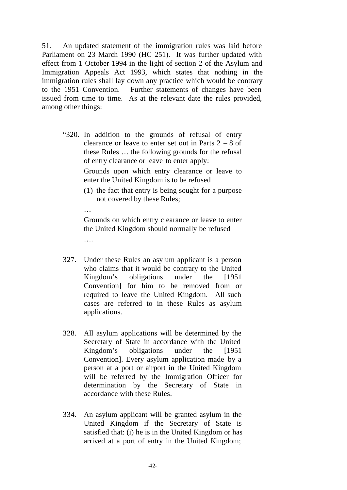51. An updated statement of the immigration rules was laid before Parliament on 23 March 1990 (HC 251). It was further updated with effect from 1 October 1994 in the light of section 2 of the Asylum and Immigration Appeals Act 1993, which states that nothing in the immigration rules shall lay down any practice which would be contrary to the 1951 Convention. Further statements of changes have been issued from time to time. As at the relevant date the rules provided, among other things:

"320. In addition to the grounds of refusal of entry clearance or leave to enter set out in Parts  $2 - 8$  of these Rules … the following grounds for the refusal of entry clearance or leave to enter apply:

> Grounds upon which entry clearance or leave to enter the United Kingdom is to be refused

> (1) the fact that entry is being sought for a purpose not covered by these Rules;

> Grounds on which entry clearance or leave to enter the United Kingdom should normally be refused

….

…

- 327. Under these Rules an asylum applicant is a person who claims that it would be contrary to the United Kingdom's obligations under the [1951] Convention] for him to be removed from or required to leave the United Kingdom. All such cases are referred to in these Rules as asylum applications.
- 328. All asylum applications will be determined by the Secretary of State in accordance with the United Kingdom's obligations under the [1951] Convention]. Every asylum application made by a person at a port or airport in the United Kingdom will be referred by the Immigration Officer for determination by the Secretary of State in accordance with these Rules.
- 334. An asylum applicant will be granted asylum in the United Kingdom if the Secretary of State is satisfied that: (i) he is in the United Kingdom or has arrived at a port of entry in the United Kingdom;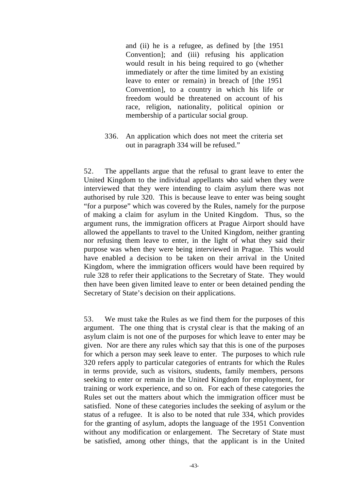and (ii) he is a refugee, as defined by [the 1951 Convention]; and (iii) refusing his application would result in his being required to go (whether immediately or after the time limited by an existing leave to enter or remain) in breach of [the 1951 Convention], to a country in which his life or freedom would be threatened on account of his race, religion, nationality, political opinion or membership of a particular social group.

336. An application which does not meet the criteria set out in paragraph 334 will be refused."

52. The appellants argue that the refusal to grant leave to enter the United Kingdom to the individual appellants who said when they were interviewed that they were intending to claim asylum there was not authorised by rule 320. This is because leave to enter was being sought "for a purpose" which was covered by the Rules, namely for the purpose of making a claim for asylum in the United Kingdom. Thus, so the argument runs, the immigration officers at Prague Airport should have allowed the appellants to travel to the United Kingdom, neither granting nor refusing them leave to enter, in the light of what they said their purpose was when they were being interviewed in Prague. This would have enabled a decision to be taken on their arrival in the United Kingdom, where the immigration officers would have been required by rule 328 to refer their applications to the Secretary of State. They would then have been given limited leave to enter or been detained pending the Secretary of State's decision on their applications.

53. We must take the Rules as we find them for the purposes of this argument. The one thing that is crystal clear is that the making of an asylum claim is not one of the purposes for which leave to enter may be given. Nor are there any rules which say that this is one of the purposes for which a person may seek leave to enter. The purposes to which rule 320 refers apply to particular categories of entrants for which the Rules in terms provide, such as visitors, students, family members, persons seeking to enter or remain in the United Kingdom for employment, for training or work experience, and so on. For each of these categories the Rules set out the matters about which the immigration officer must be satisfied. None of these categories includes the seeking of asylum or the status of a refugee. It is also to be noted that rule 334, which provides for the granting of asylum, adopts the language of the 1951 Convention without any modification or enlargement. The Secretary of State must be satisfied, among other things, that the applicant is in the United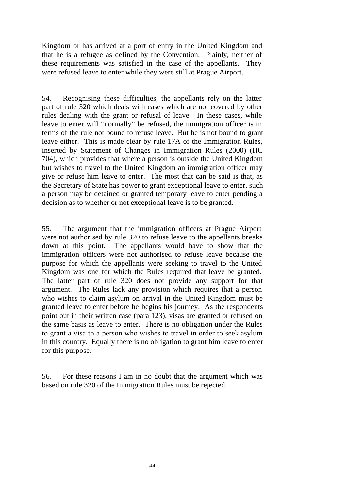Kingdom or has arrived at a port of entry in the United Kingdom and that he is a refugee as defined by the Convention. Plainly, neither of these requirements was satisfied in the case of the appellants. They were refused leave to enter while they were still at Prague Airport.

54. Recognising these difficulties, the appellants rely on the latter part of rule 320 which deals with cases which are not covered by other rules dealing with the grant or refusal of leave. In these cases, while leave to enter will "normally" be refused, the immigration officer is in terms of the rule not bound to refuse leave. But he is not bound to grant leave either. This is made clear by rule 17A of the Immigration Rules, inserted by Statement of Changes in Immigration Rules (2000) (HC 704), which provides that where a person is outside the United Kingdom but wishes to travel to the United Kingdom an immigration officer may give or refuse him leave to enter. The most that can be said is that, as the Secretary of State has power to grant exceptional leave to enter, such a person may be detained or granted temporary leave to enter pending a decision as to whether or not exceptional leave is to be granted.

55. The argument that the immigration officers at Prague Airport were not authorised by rule 320 to refuse leave to the appellants breaks down at this point. The appellants would have to show that the immigration officers were not authorised to refuse leave because the purpose for which the appellants were seeking to travel to the United Kingdom was one for which the Rules required that leave be granted. The latter part of rule 320 does not provide any support for that argument. The Rules lack any provision which requires that a person who wishes to claim asylum on arrival in the United Kingdom must be granted leave to enter before he begins his journey. As the respondents point out in their written case (para 123), visas are granted or refused on the same basis as leave to enter. There is no obligation under the Rules to grant a visa to a person who wishes to travel in order to seek asylum in this country. Equally there is no obligation to grant him leave to enter for this purpose.

56. For these reasons I am in no doubt that the argument which was based on rule 320 of the Immigration Rules must be rejected.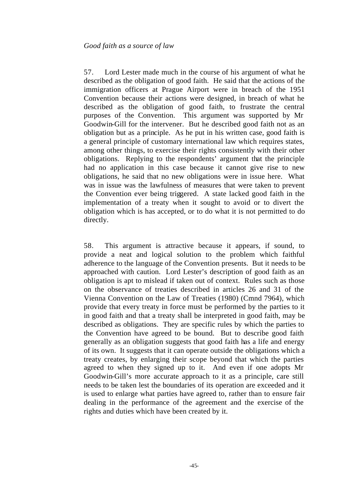## *Good faith as a source of law*

57. Lord Lester made much in the course of his argument of what he described as the obligation of good faith. He said that the actions of the immigration officers at Prague Airport were in breach of the 1951 Convention because their actions were designed, in breach of what he described as the obligation of good faith, to frustrate the central purposes of the Convention. This argument was supported by Mr Goodwin-Gill for the intervener. But he described good faith not as an obligation but as a principle. As he put in his written case, good faith is a general principle of customary international law which requires states, among other things, to exercise their rights consistently with their other obligations. Replying to the respondents' argument that the principle had no application in this case because it cannot give rise to new obligations, he said that no new obligations were in issue here. What was in issue was the lawfulness of measures that were taken to prevent the Convention ever being triggered. A state lacked good faith in the implementation of a treaty when it sought to avoid or to divert the obligation which is has accepted, or to do what it is not permitted to do directly.

58. This argument is attractive because it appears, if sound, to provide a neat and logical solution to the problem which faithful adherence to the language of the Convention presents. But it needs to be approached with caution. Lord Lester's description of good faith as an obligation is apt to mislead if taken out of context. Rules such as those on the observance of treaties described in articles 26 and 31 of the Vienna Convention on the Law of Treaties (1980) (Cmnd 7964), which provide that every treaty in force must be performed by the parties to it in good faith and that a treaty shall be interpreted in good faith, may be described as obligations. They are specific rules by which the parties to the Convention have agreed to be bound. But to describe good faith generally as an obligation suggests that good faith has a life and energy of its own. It suggests that it can operate outside the obligations which a treaty creates, by enlarging their scope beyond that which the parties agreed to when they signed up to it. And even if one adopts Mr Goodwin-Gill's more accurate approach to it as a principle, care still needs to be taken lest the boundaries of its operation are exceeded and it is used to enlarge what parties have agreed to, rather than to ensure fair dealing in the performance of the agreement and the exercise of the rights and duties which have been created by it.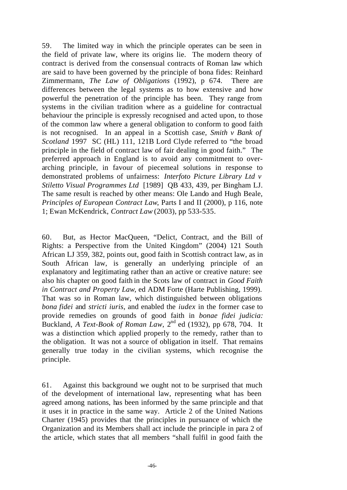59. The limited way in which the principle operates can be seen in the field of private law, where its origins lie. The modern theory of contract is derived from the consensual contracts of Roman law which are said to have been governed by the principle of bona fides: Reinhard Zimmermann, *The Law of Obligations* (1992), p 674. There are differences between the legal systems as to how extensive and how powerful the penetration of the principle has been. They range from systems in the civilian tradition where as a guideline for contractual behaviour the principle is expressly recognised and acted upon, to those of the common law where a general obligation to conform to good faith is not recognised. In an appeal in a Scottish case, *Smith v Bank of Scotland* 1997 SC (HL) 111, 121B Lord Clyde referred to "the broad principle in the field of contract law of fair dealing in good faith." The preferred approach in England is to avoid any commitment to overarching principle, in favour of piecemeal solutions in response to demonstrated problems of unfairness: *Interfoto Picture Library Ltd v Stiletto Visual Programmes Ltd* [1989] QB 433, 439, per Bingham LJ. The same result is reached by other means: Ole Lando and Hugh Beale, *Principles of European Contract Law*, Parts I and II (2000), p 116, note 1; Ewan McKendrick, *Contract Law* (2003), pp 533-535.

60. But, as Hector MacQueen, "Delict, Contract, and the Bill of Rights: a Perspective from the United Kingdom" (2004) 121 South African LJ 359, 382, points out, good faith in Scottish contract law, as in South African law, is generally an underlying principle of an explanatory and legitimating rather than an active or creative nature: see also his chapter on good faith in the Scots law of contract in *Good Faith in Contract and Property Law*, ed ADM Forte (Harte Publishing, 1999). That was so in Roman law, which distinguished between obligations *bona fidei* and *stricti iuris*, and enabled the *iudex* in the former case to provide remedies on grounds of good faith in *bonae fidei judicia:* Buckland, *A Text-Book of Roman Law*,  $2^{nd}$  ed (1932), pp 678, 704. It was a distinction which applied properly to the remedy, rather than to the obligation. It was not a source of obligation in itself. That remains generally true today in the civilian systems, which recognise the principle.

61. Against this background we ought not to be surprised that much of the development of international law, representing what has been agreed among nations, has been informed by the same principle and that it uses it in practice in the same way. Article 2 of the United Nations Charter (1945) provides that the principles in pursuance of which the Organization and its Members shall act include the principle in para 2 of the article, which states that all members "shall fulfil in good faith the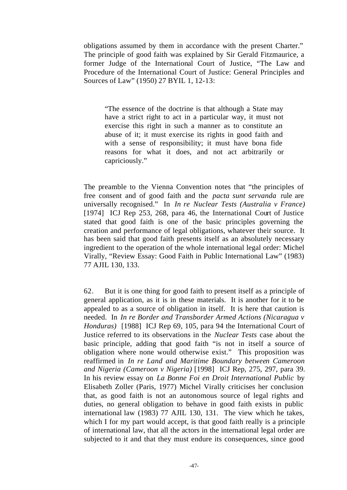obligations assumed by them in accordance with the present Charter." The principle of good faith was explained by Sir Gerald Fitzmaurice, a former Judge of the International Court of Justice, "The Law and Procedure of the International Court of Justice: General Principles and Sources of Law" (1950) 27 BYIL 1, 12-13:

"The essence of the doctrine is that although a State may have a strict right to act in a particular way, it must not exercise this right in such a manner as to constitute an abuse of it; it must exercise its rights in good faith and with a sense of responsibility; it must have bona fide reasons for what it does, and not act arbitrarily or capriciously."

The preamble to the Vienna Convention notes that "the principles of free consent and of good faith and the *pacta sunt servanda* rule are universally recognised." In *In re Nuclear Tests (Australia v France)* [1974] ICJ Rep 253, 268, para 46, the International Court of Justice stated that good faith is one of the basic principles governing the creation and performance of legal obligations, whatever their source. It has been said that good faith presents itself as an absolutely necessary ingredient to the operation of the whole international legal order: Michel Virally, "Review Essay: Good Faith in Public International Law" (1983) 77 AJIL 130, 133.

62. But it is one thing for good faith to present itself as a principle of general application, as it is in these materials. It is another for it to be appealed to as a source of obligation in itself. It is here that caution is needed. In *In re Border and Transborder Armed Actions (Nicaragua v Honduras)* [1988] ICJ Rep 69, 105, para 94 the International Court of Justice referred to its observations in the *Nuclear Tests* case about the basic principle, adding that good faith "is not in itself a source of obligation where none would otherwise exist." This proposition was reaffirmed in *In re Land and Maritime Boundary between Cameroon and Nigeria (Cameroon v Nigeria)* [1998] ICJ Rep, 275, 297, para 39. In his review essay on *La Bonne Foi en Droit International Public* by Elisabeth Zoller (Paris, 1977) Michel Virally criticises her conclusion that, as good faith is not an autonomous source of legal rights and duties, no general obligation to behave in good faith exists in public international law (1983) 77 AJIL 130, 131. The view which he takes, which I for my part would accept, is that good faith really is a principle of international law, that all the actors in the international legal order are subjected to it and that they must endure its consequences, since good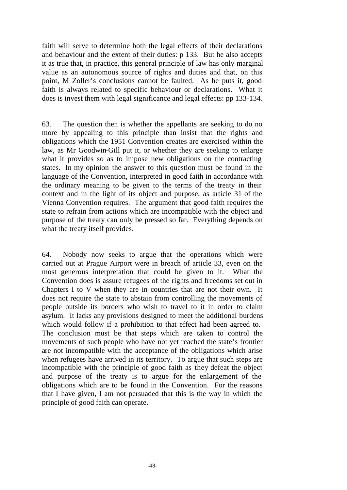faith will serve to determine both the legal effects of their declarations and behaviour and the extent of their duties: p 133. But he also accepts it as true that, in practice, this general principle of law has only marginal value as an autonomous source of rights and duties and that, on this point, M Zoller's conclusions cannot be faulted. As he puts it, good faith is always related to specific behaviour or declarations. What it does is invest them with legal significance and legal effects: pp 133-134.

63. The question then is whether the appellants are seeking to do no more by appealing to this principle than insist that the rights and obligations which the 1951 Convention creates are exercised within the law, as Mr Goodwin-Gill put it, or whether they are seeking to enlarge what it provides so as to impose new obligations on the contracting states. In my opinion the answer to this question must be found in the language of the Convention, interpreted in good faith in accordance with the ordinary meaning to be given to the terms of the treaty in their context and in the light of its object and purpose, as article 31 of the Vienna Convention requires. The argument that good faith requires the state to refrain from actions which are incompatible with the object and purpose of the treaty can only be pressed so far. Everything depends on what the treaty itself provides.

64. Nobody now seeks to argue that the operations which were carried out at Prague Airport were in breach of article 33, even on the most generous interpretation that could be given to it. What the Convention does is assure refugees of the rights and freedoms set out in Chapters I to V when they are in countries that are not their own. It does not require the state to abstain from controlling the movements of people outside its borders who wish to travel to it in order to claim asylum. It lacks any provisions designed to meet the additional burdens which would follow if a prohibition to that effect had been agreed to. The conclusion must be that steps which are taken to control the movements of such people who have not yet reached the state's frontier are not incompatible with the acceptance of the obligations which arise when refugees have arrived in its territory. To argue that such steps are incompatible with the principle of good faith as they defeat the object and purpose of the treaty is to argue for the enlargement of the obligations which are to be found in the Convention. For the reasons that I have given, I am not persuaded that this is the way in which the principle of good faith can operate.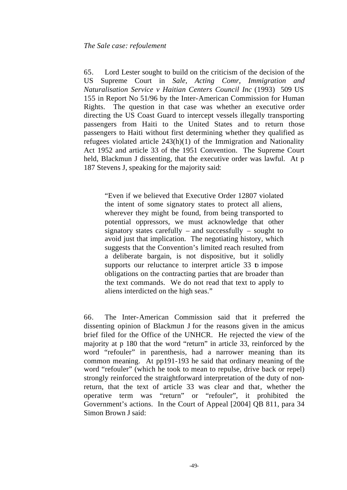# *The Sale case: refoulement*

65. Lord Lester sought to build on the criticism of the decision of the US Supreme Court in *Sale, Acting Comr, Immigration and Naturalisation Service v Haitian Centers Council Inc* (1993) 509 US 155 in Report No 51/96 by the Inter-American Commission for Human Rights. The question in that case was whether an executive order directing the US Coast Guard to intercept vessels illegally transporting passengers from Haiti to the United States and to return those passengers to Haiti without first determining whether they qualified as refugees violated article 243(h)(1) of the Immigration and Nationality Act 1952 and article 33 of the 1951 Convention. The Supreme Court held, Blackmun J dissenting, that the executive order was lawful. At p 187 Stevens J, speaking for the majority said:

"Even if we believed that Executive Order 12807 violated the intent of some signatory states to protect all aliens, wherever they might be found, from being transported to potential oppressors, we must acknowledge that other signatory states carefully – and successfully – sought to avoid just that implication. The negotiating history, which suggests that the Convention's limited reach resulted from a deliberate bargain, is not dispositive, but it solidly supports our reluctance to interpret article 33 to impose obligations on the contracting parties that are broader than the text commands. We do not read that text to apply to aliens interdicted on the high seas."

66. The Inter-American Commission said that it preferred the dissenting opinion of Blackmun J for the reasons given in the amicus brief filed for the Office of the UNHCR. He rejected the view of the majority at p 180 that the word "return" in article 33, reinforced by the word "refouler" in parenthesis, had a narrower meaning than its common meaning. At pp191-193 he said that ordinary meaning of the word "refouler" (which he took to mean to repulse, drive back or repel) strongly reinforced the straightforward interpretation of the duty of nonreturn, that the text of article 33 was clear and that, whether the operative term was "return" or "refouler", it prohibited the Government's actions. In the Court of Appeal [2004] QB 811, para 34 Simon Brown J said: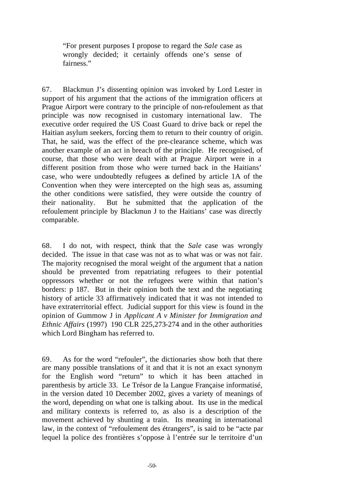"For present purposes I propose to regard the *Sale* case as wrongly decided; it certainly offends one's sense of fairness."

67. Blackmun J's dissenting opinion was invoked by Lord Lester in support of his argument that the actions of the immigration officers at Prague Airport were contrary to the principle of non-refoulement as that principle was now recognised in customary international law. The executive order required the US Coast Guard to drive back or repel the Haitian asylum seekers, forcing them to return to their country of origin. That, he said, was the effect of the pre-clearance scheme, which was another example of an act in breach of the principle. He recognised, of course, that those who were dealt with at Prague Airport were in a different position from those who were turned back in the Haitians' case, who were undoubtedly refugees as defined by article 1A of the Convention when they were intercepted on the high seas as, assuming the other conditions were satisfied, they were outside the country of their nationality. But he submitted that the application of the refoulement principle by Blackmun J to the Haitians' case was directly comparable.

68. I do not, with respect, think that the *Sale* case was wrongly decided. The issue in that case was not as to what was or was not fair. The majority recognised the moral weight of the argument that a nation should be prevented from repatriating refugees to their potential oppressors whether or not the refugees were within that nation's borders: p 187. But in their opinion both the text and the negotiating history of article 33 affirmatively indicated that it was not intended to have extraterritorial effect. Judicial support for this view is found in the opinion of Gummow J in *Applicant A v Minister for Immigration and Ethnic Affairs* (1997) 190 CLR 225,273-274 and in the other authorities which Lord Bingham has referred to.

69. As for the word "refouler", the dictionaries show both that there are many possible translations of it and that it is not an exact synonym for the English word "return" to which it has been attached in parenthesis by article 33. Le Trésor de la Langue Française informatisé, in the version dated 10 December 2002, gives a variety of meanings of the word, depending on what one is talking about. Its use in the medical and military contexts is referred to, as also is a description of the movement achieved by shunting a train. Its meaning in international law, in the context of "refoulement des étrangers", is said to be "acte par lequel la police des frontières s'oppose à l'entrée sur le territoire d'un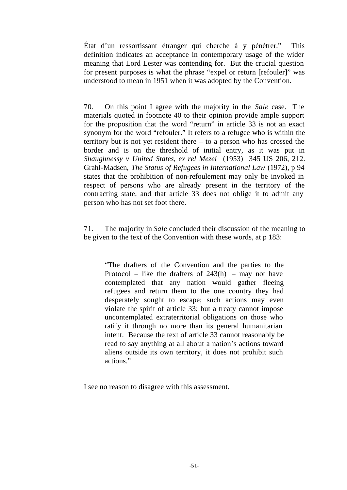État d'un ressortissant étranger qui cherche à y pénétrer." This definition indicates an acceptance in contemporary usage of the wider meaning that Lord Lester was contending for. But the crucial question for present purposes is what the phrase "expel or return [refouler]" was understood to mean in 1951 when it was adopted by the Convention.

70. On this point I agree with the majority in the *Sale* case. The materials quoted in footnote 40 to their opinion provide ample support for the proposition that the word "return" in article 33 is not an exact synonym for the word "refouler." It refers to a refugee who is within the territory but is not yet resident there – to a person who has crossed the border and is on the threshold of initial entry, as it was put in *Shaughnessy v United States, ex rel Mezei* (1953) 345 US 206, 212. Grahl-Madsen, *The Status of Refugees in International Law* (1972), p 94 states that the prohibition of non-refoulement may only be invoked in respect of persons who are already present in the territory of the contracting state, and that article 33 does not oblige it to admit any person who has not set foot there.

71. The majority in *Sale* concluded their discussion of the meaning to be given to the text of the Convention with these words, at p 183:

"The drafters of the Convention and the parties to the Protocol – like the drafters of  $243(h)$  – may not have contemplated that any nation would gather fleeing refugees and return them to the one country they had desperately sought to escape; such actions may even violate the spirit of article 33; but a treaty cannot impose uncontemplated extraterritorial obligations on those who ratify it through no more than its general humanitarian intent. Because the text of article 33 cannot reasonably be read to say anything at all about a nation's actions toward aliens outside its own territory, it does not prohibit such actions."

I see no reason to disagree with this assessment.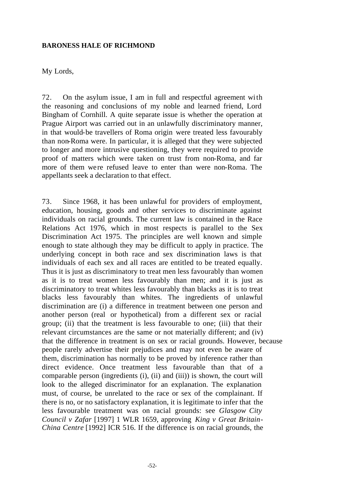#### **BARONESS HALE OF RICHMOND**

#### My Lords,

72. On the asylum issue, I am in full and respectful agreement with the reasoning and conclusions of my noble and learned friend, Lord Bingham of Cornhill. A quite separate issue is whether the operation at Prague Airport was carried out in an unlawfully discriminatory manner, in that would-be travellers of Roma origin were treated less favourably than non-Roma were. In particular, it is alleged that they were subjected to longer and more intrusive questioning, they were required to provide proof of matters which were taken on trust from non-Roma, and far more of them were refused leave to enter than were non-Roma. The appellants seek a declaration to that effect.

73. Since 1968, it has been unlawful for providers of employment, education, housing, goods and other services to discriminate against individuals on racial grounds. The current law is contained in the Race Relations Act 1976, which in most respects is parallel to the Sex Discrimination Act 1975. The principles are well known and simple enough to state although they may be difficult to apply in practice. The underlying concept in both race and sex discrimination laws is that individuals of each sex and all races are entitled to be treated equally. Thus it is just as discriminatory to treat men less favourably than women as it is to treat women less favourably than men; and it is just as discriminatory to treat whites less favourably than blacks as it is to treat blacks less favourably than whites. The ingredients of unlawful discrimination are (i) a difference in treatment between one person and another person (real or hypothetical) from a different sex or racial group; (ii) that the treatment is less favourable to one; (iii) that their relevant circumstances are the same or not materially different; and (iv) that the difference in treatment is on sex or racial grounds. However, because people rarely advertise their prejudices and may not even be aware of them, discrimination has normally to be proved by inference rather than direct evidence. Once treatment less favourable than that of a comparable person (ingredients (i), (ii) and (iii)) is shown, the court will look to the alleged discriminator for an explanation. The explanation must, of course, be unrelated to the race or sex of the complainant. If there is no, or no satisfactory explanation, it is legitimate to infer that the less favourable treatment was on racial grounds: see *Glasgow City Council v Zafar* [1997] 1 WLR 1659, approving *King v Great Britain-China Centre* [1992] ICR 516. If the difference is on racial grounds, the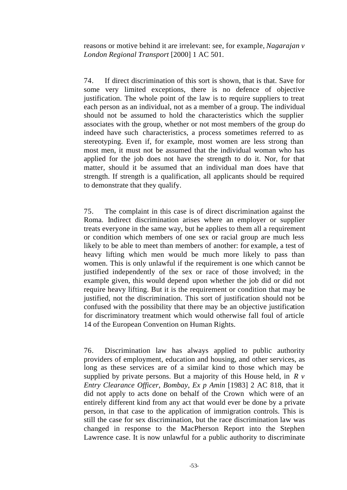reasons or motive behind it are irrelevant: see, for example, *Nagarajan v London Regional Transport* [2000] 1 AC 501.

74. If direct discrimination of this sort is shown, that is that. Save for some very limited exceptions, there is no defence of objective justification. The whole point of the law is to require suppliers to treat each person as an individual, not as a member of a group. The individual should not be assumed to hold the characteristics which the supplier associates with the group, whether or not most members of the group do indeed have such characteristics, a process sometimes referred to as stereotyping. Even if, for example, most women are less strong than most men, it must not be assumed that the individual woman who has applied for the job does not have the strength to do it. Nor, for that matter, should it be assumed that an individual man does have that strength. If strength is a qualification, all applicants should be required to demonstrate that they qualify.

75. The complaint in this case is of direct discrimination against the Roma. Indirect discrimination arises where an employer or supplier treats everyone in the same way, but he applies to them all a requirement or condition which members of one sex or racial group are much less likely to be able to meet than members of another: for example, a test of heavy lifting which men would be much more likely to pass than women. This is only unlawful if the requirement is one which cannot be justified independently of the sex or race of those involved; in the example given, this would depend upon whether the job did or did not require heavy lifting. But it is the requirement or condition that may be justified, not the discrimination. This sort of justification should not be confused with the possibility that there may be an objective justification for discriminatory treatment which would otherwise fall foul of article 14 of the European Convention on Human Rights.

76. Discrimination law has always applied to public authority providers of employment, education and housing, and other services, as long as these services are of a similar kind to those which may be supplied by private persons. But a majority of this House held, in *R v Entry Clearance Officer, Bombay, Ex p Amin* [1983] 2 AC 818, that it did not apply to acts done on behalf of the Crown which were of an entirely different kind from any act that would ever be done by a private person, in that case to the application of immigration controls. This is still the case for sex discrimination, but the race discrimination law was changed in response to the MacPherson Report into the Stephen Lawrence case. It is now unlawful for a public authority to discriminate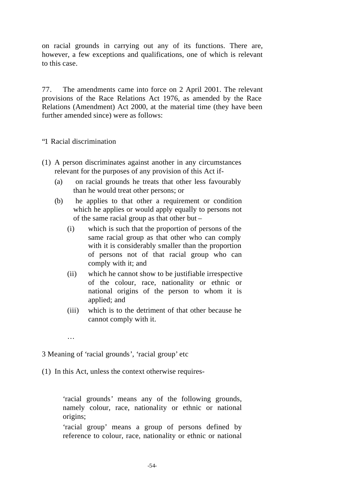on racial grounds in carrying out any of its functions. There are, however, a few exceptions and qualifications, one of which is relevant to this case.

77. The amendments came into force on 2 April 2001. The relevant provisions of the Race Relations Act 1976, as amended by the Race Relations (Amendment) Act 2000, at the material time (they have been further amended since) were as follows:

"1 Racial discrimination

- (1) A person discriminates against another in any circumstances relevant for the purposes of any provision of this Act if-
	- (a) on racial grounds he treats that other less favourably than he would treat other persons; or
	- (b) he applies to that other a requirement or condition which he applies or would apply equally to persons not of the same racial group as that other but –
		- (i) which is such that the proportion of persons of the same racial group as that other who can comply with it is considerably smaller than the proportion of persons not of that racial group who can comply with it; and
		- (ii) which he cannot show to be justifiable irrespective of the colour, race, nationality or ethnic or national origins of the person to whom it is applied; and
		- (iii) which is to the detriment of that other because he cannot comply with it.
		- …

3 Meaning of 'racial grounds', 'racial group' etc

(1) In this Act, unless the context otherwise requires-

'racial grounds' means any of the following grounds, namely colour, race, nationality or ethnic or national origins;

'racial group' means a group of persons defined by reference to colour, race, nationality or ethnic or national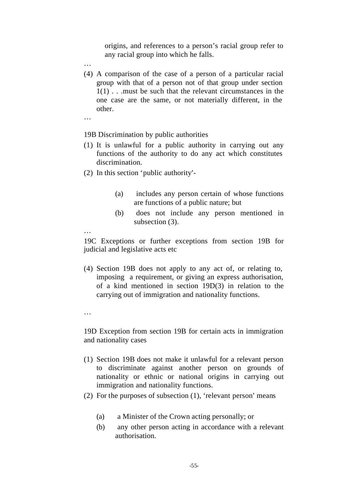origins, and references to a person's racial group refer to any racial group into which he falls.

- …
- (4) A comparison of the case of a person of a particular racial group with that of a person not of that group under section 1(1) . . .must be such that the relevant circumstances in the one case are the same, or not materially different, in the other.
- …

19B Discrimination by public authorities

- (1) It is unlawful for a public authority in carrying out any functions of the authority to do any act which constitutes discrimination.
- (2) In this section 'public authority'-
	- (a) includes any person certain of whose functions are functions of a public nature; but
	- (b) does not include any person mentioned in subsection  $(3)$ .

19C Exceptions or further exceptions from section 19B for judicial and legislative acts etc

- (4) Section 19B does not apply to any act of, or relating to, imposing a requirement, or giving an express authorisation, of a kind mentioned in section 19D(3) in relation to the carrying out of immigration and nationality functions.
- …

…

19D Exception from section 19B for certain acts in immigration and nationality cases

- (1) Section 19B does not make it unlawful for a relevant person to discriminate against another person on grounds of nationality or ethnic or national origins in carrying out immigration and nationality functions.
- (2) For the purposes of subsection (1), 'relevant person' means
	- (a) a Minister of the Crown acting personally; or
	- (b) any other person acting in accordance with a relevant authorisation.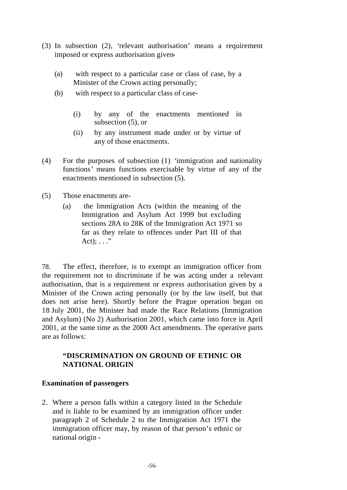- (3) In subsection (2), 'relevant authorisation' means a requirement imposed or express authorisation given-
	- (a) with respect to a particular case or class of case, by a Minister of the Crown acting personally;
	- (b) with respect to a particular class of case-
		- (i) by any of the enactments mentioned in subsection (5), or
		- (ii) by any instrument made under or by virtue of any of those enactments.
- (4) For the purposes of subsection (1) 'immigration and nationality functions' means functions exercisable by virtue of any of the enactments mentioned in subsection (5).
- (5) Those enactments are-
	- (a) the Immigration Acts (within the meaning of the Immigration and Asylum Act 1999 but excluding sections 28A to 28K of the Immigration Act 1971 so far as they relate to offences under Part III of that Act);  $\ldots$ ."

78. The effect, therefore, is to exempt an immigration officer from the requirement not to discriminate if he was acting under a relevant authorisation, that is a requirement or express authorisation given by a Minister of the Crown acting personally (or by the law itself, but that does not arise here). Shortly before the Prague operation began on 18 July 2001, the Minister had made the Race Relations (Immigration and Asylum) (No 2) Authorisation 2001, which came into force in April 2001, at the same time as the 2000 Act amendments. The operative parts are as follows:

# **"DISCRIMINATION ON GROUND OF ETHNIC OR NATIONAL ORIGIN**

# **Examination of passengers**

2. Where a person falls within a category listed in the Schedule and is liable to be examined by an immigration officer under paragraph 2 of Schedule 2 to the Immigration Act 1971 the immigration officer may, by reason of that person's ethnic or national origin -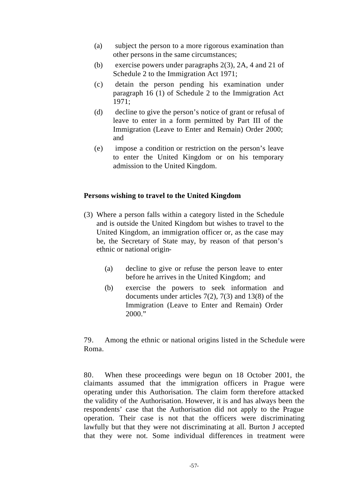- (a) subject the person to a more rigorous examination than other persons in the same circumstances;
- (b) exercise powers under paragraphs 2(3), 2A, 4 and 21 of Schedule 2 to the Immigration Act 1971;
- (c) detain the person pending his examination under paragraph 16 (1) of Schedule 2 to the Immigration Act 1971;
- (d) decline to give the person's notice of grant or refusal of leave to enter in a form permitted by Part III of the Immigration (Leave to Enter and Remain) Order 2000; and
- (e) impose a condition or restriction on the person's leave to enter the United Kingdom or on his temporary admission to the United Kingdom.

# **Persons wishing to travel to the United Kingdom**

- (3) Where a person falls within a category listed in the Schedule and is outside the United Kingdom but wishes to travel to the United Kingdom, an immigration officer or, as the case may be, the Secretary of State may, by reason of that person's ethnic or national origin-
	- (a) decline to give or refuse the person leave to enter before he arrives in the United Kingdom; and
	- (b) exercise the powers to seek information and documents under articles 7(2), 7(3) and 13(8) of the Immigration (Leave to Enter and Remain) Order  $2000."$

79. Among the ethnic or national origins listed in the Schedule were Roma.

80. When these proceedings were begun on 18 October 2001, the claimants assumed that the immigration officers in Prague were operating under this Authorisation. The claim form therefore attacked the validity of the Authorisation. However, it is and has always been the respondents' case that the Authorisation did not apply to the Prague operation. Their case is not that the officers were discriminating lawfully but that they were not discriminating at all. Burton J accepted that they were not. Some individual differences in treatment were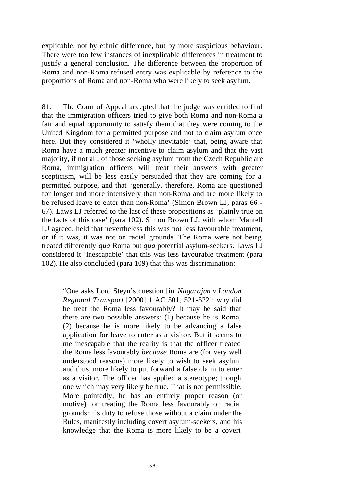explicable, not by ethnic difference, but by more suspicious behaviour. There were too few instances of inexplicable differences in treatment to justify a general conclusion. The difference between the proportion of Roma and non-Roma refused entry was explicable by reference to the proportions of Roma and non-Roma who were likely to seek asylum.

81. The Court of Appeal accepted that the judge was entitled to find that the immigration officers tried to give both Roma and non-Roma a fair and equal opportunity to satisfy them that they were coming to the United Kingdom for a permitted purpose and not to claim asylum once here. But they considered it 'wholly inevitable' that, being aware that Roma have a much greater incentive to claim asylum and that the vast majority, if not all, of those seeking asylum from the Czech Republic are Roma, immigration officers will treat their answers with greater scepticism, will be less easily persuaded that they are coming for a permitted purpose, and that 'generally, therefore, Roma are questioned for longer and more intensively than non-Roma and are more likely to be refused leave to enter than non-Roma' (Simon Brown LJ, paras 66 - 67). Laws LJ referred to the last of these propositions as 'plainly true on the facts of this case' (para 102). Simon Brown LJ, with whom Mantell LJ agreed, held that nevertheless this was not less favourable treatment, or if it was, it was not on racial grounds. The Roma were not being treated differently *qua* Roma but *qua* potential asylum-seekers. Laws LJ considered it 'inescapable' that this was less favourable treatment (para 102). He also concluded (para 109) that this was discrimination:

"One asks Lord Steyn's question [in *Nagarajan v London Regional Transport* [2000] 1 AC 501, 521-522]: why did he treat the Roma less favourably? It may be said that there are two possible answers: (1) because he is Roma; (2) because he is more likely to be advancing a false application for leave to enter as a visitor. But it seems to me inescapable that the reality is that the officer treated the Roma less favourably *because* Roma are (for very well understood reasons) more likely to wish to seek asylum and thus, more likely to put forward a false claim to enter as a visitor. The officer has applied a stereotype; though one which may very likely be true. That is not permissible. More pointedly, he has an entirely proper reason (or motive) for treating the Roma less favourably on racial grounds: his duty to refuse those without a claim under the Rules, manifestly including covert asylum-seekers, and his knowledge that the Roma is more likely to be a covert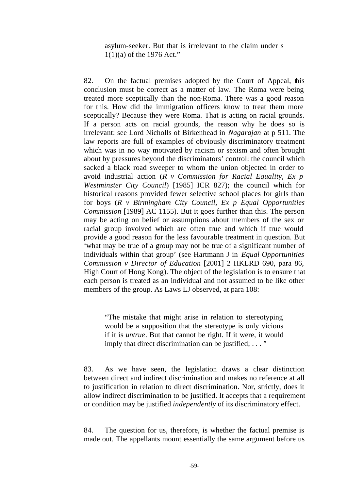asylum-seeker. But that is irrelevant to the claim under s 1(1)(a) of the 1976 Act."

82. On the factual premises adopted by the Court of Appeal, this conclusion must be correct as a matter of law. The Roma were being treated more sceptically than the non-Roma. There was a good reason for this. How did the immigration officers know to treat them more sceptically? Because they were Roma. That is acting on racial grounds. If a person acts on racial grounds, the reason why he does so is irrelevant: see Lord Nicholls of Birkenhead in *Nagarajan* at p 511. The law reports are full of examples of obviously discriminatory treatment which was in no way motivated by racism or sexism and often brought about by pressures beyond the discriminators' control: the council which sacked a black road sweeper to whom the union objected in order to avoid industrial action (*R v Commission for Racial Equality, Ex p Westminster City Council*) [1985] ICR 827); the council which for historical reasons provided fewer selective school places for girls than for boys (*R v Birmingham City Council, Ex p Equal Opportunities Commission* [1989] AC 1155). But it goes further than this. The person may be acting on belief or assumptions about members of the sex or racial group involved which are often true and which if true would provide a good reason for the less favourable treatment in question. But 'what may be true of a group may not be true of a significant number of individuals within that group' (see Hartmann J in *Equal Opportunities Commission v Director of Education* [2001] 2 HKLRD 690, para 86, High Court of Hong Kong). The object of the legislation is to ensure that each person is treated as an individual and not assumed to be like other members of the group. As Laws LJ observed, at para 108:

"The mistake that might arise in relation to stereotyping would be a supposition that the stereotype is only vicious if it is *untrue*. But that cannot be right. If it were, it would imply that direct discrimination can be justified; ..."

83. As we have seen, the legislation draws a clear distinction between direct and indirect discrimination and makes no reference at all to justification in relation to direct discrimination. Nor, strictly, does it allow indirect discrimination to be justified. It accepts that a requirement or condition may be justified *independently* of its discriminatory effect.

84. The question for us, therefore, is whether the factual premise is made out. The appellants mount essentially the same argument before us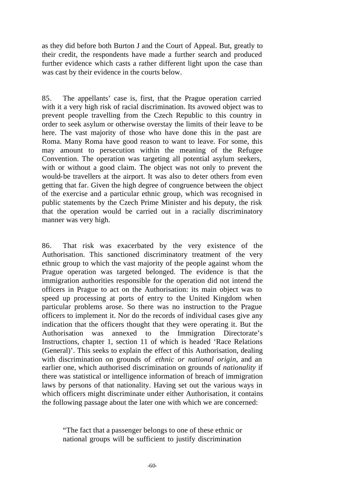as they did before both Burton J and the Court of Appeal. But, greatly to their credit, the respondents have made a further search and produced further evidence which casts a rather different light upon the case than was cast by their evidence in the courts below.

85. The appellants' case is, first, that the Prague operation carried with it a very high risk of racial discrimination. Its avowed object was to prevent people travelling from the Czech Republic to this country in order to seek asylum or otherwise overstay the limits of their leave to be here. The vast majority of those who have done this in the past are Roma. Many Roma have good reason to want to leave. For some, this may amount to persecution within the meaning of the Refugee Convention. The operation was targeting all potential asylum seekers, with or without a good claim. The object was not only to prevent the would-be travellers at the airport. It was also to deter others from even getting that far. Given the high degree of congruence between the object of the exercise and a particular ethnic group, which was recognised in public statements by the Czech Prime Minister and his deputy, the risk that the operation would be carried out in a racially discriminatory manner was very high.

86. That risk was exacerbated by the very existence of the Authorisation. This sanctioned discriminatory treatment of the very ethnic group to which the vast majority of the people against whom the Prague operation was targeted belonged. The evidence is that the immigration authorities responsible for the operation did not intend the officers in Prague to act on the Authorisation: its main object was to speed up processing at ports of entry to the United Kingdom when particular problems arose. So there was no instruction to the Prague officers to implement it. Nor do the records of individual cases give any indication that the officers thought that they were operating it. But the Authorisation was annexed to the Immigration Directorate's Instructions, chapter 1, section 11 of which is headed 'Race Relations (General)'. This seeks to explain the effect of this Authorisation, dealing with discrimination on grounds of *ethnic or national origin*, and an earlier one, which authorised discrimination on grounds of *nationality* if there was statistical or intelligence information of breach of immigration laws by persons of that nationality. Having set out the various ways in which officers might discriminate under either Authorisation, it contains the following passage about the later one with which we are concerned:

<sup>&</sup>quot;The fact that a passenger belongs to one of these ethnic or national groups will be sufficient to justify discrimination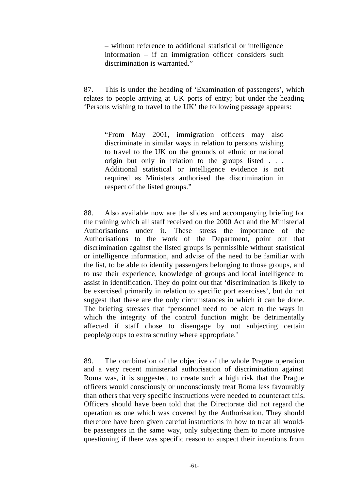– without reference to additional statistical or intelligence information – if an immigration officer considers such discrimination is warranted."

87. This is under the heading of 'Examination of passengers', which relates to people arriving at UK ports of entry; but under the heading 'Persons wishing to travel to the UK' the following passage appears:

"From May 2001, immigration officers may also discriminate in similar ways in relation to persons wishing to travel to the UK on the grounds of ethnic or national origin but only in relation to the groups listed . . . Additional statistical or intelligence evidence is not required as Ministers authorised the discrimination in respect of the listed groups."

88. Also available now are the slides and accompanying briefing for the training which all staff received on the 2000 Act and the Ministerial Authorisations under it. These stress the importance of the Authorisations to the work of the Department, point out that discrimination against the listed groups is permissible without statistical or intelligence information, and advise of the need to be familiar with the list, to be able to identify passengers belonging to those groups, and to use their experience, knowledge of groups and local intelligence to assist in identification. They do point out that 'discrimination is likely to be exercised primarily in relation to specific port exercises', but do not suggest that these are the only circumstances in which it can be done. The briefing stresses that 'personnel need to be alert to the ways in which the integrity of the control function might be detrimentally affected if staff chose to disengage by not subjecting certain people/groups to extra scrutiny where appropriate.'

89. The combination of the objective of the whole Prague operation and a very recent ministerial authorisation of discrimination against Roma was, it is suggested, to create such a high risk that the Prague officers would consciously or unconsciously treat Roma less favourably than others that very specific instructions were needed to counteract this. Officers should have been told that the Directorate did not regard the operation as one which was covered by the Authorisation. They should therefore have been given careful instructions in how to treat all wouldbe passengers in the same way, only subjecting them to more intrusive questioning if there was specific reason to suspect their intentions from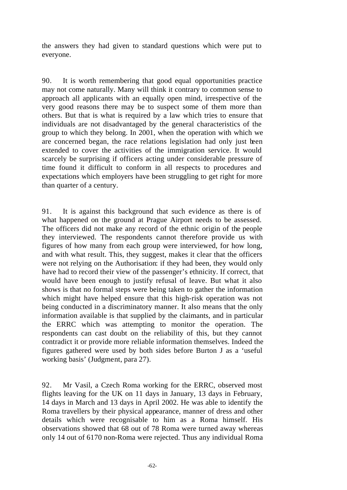the answers they had given to standard questions which were put to everyone.

90. It is worth remembering that good equal opportunities practice may not come naturally. Many will think it contrary to common sense to approach all applicants with an equally open mind, irrespective of the very good reasons there may be to suspect some of them more than others. But that is what is required by a law which tries to ensure that individuals are not disadvantaged by the general characteristics of the group to which they belong. In 2001, when the operation with which we are concerned began, the race relations legislation had only just been extended to cover the activities of the immigration service. It would scarcely be surprising if officers acting under considerable pressure of time found it difficult to conform in all respects to procedures and expectations which employers have been struggling to get right for more than quarter of a century.

91. It is against this background that such evidence as there is of what happened on the ground at Prague Airport needs to be assessed. The officers did not make any record of the ethnic origin of the people they interviewed. The respondents cannot therefore provide us with figures of how many from each group were interviewed, for how long, and with what result. This, they suggest, makes it clear that the officers were not relying on the Authorisation: if they had been, they would only have had to record their view of the passenger's ethnicity. If correct, that would have been enough to justify refusal of leave. But what it also shows is that no formal steps were being taken to gather the information which might have helped ensure that this high-risk operation was not being conducted in a discriminatory manner. It also means that the only information available is that supplied by the claimants, and in particular the ERRC which was attempting to monitor the operation. The respondents can cast doubt on the reliability of this, but they cannot contradict it or provide more reliable information themselves. Indeed the figures gathered were used by both sides before Burton J as a 'useful working basis' (Judgment, para 27).

92. Mr Vasil, a Czech Roma working for the ERRC, observed most flights leaving for the UK on 11 days in January, 13 days in February, 14 days in March and 13 days in April 2002. He was able to identify the Roma travellers by their physical appearance, manner of dress and other details which were recognisable to him as a Roma himself. His observations showed that 68 out of 78 Roma were turned away whereas only 14 out of 6170 non-Roma were rejected. Thus any individual Roma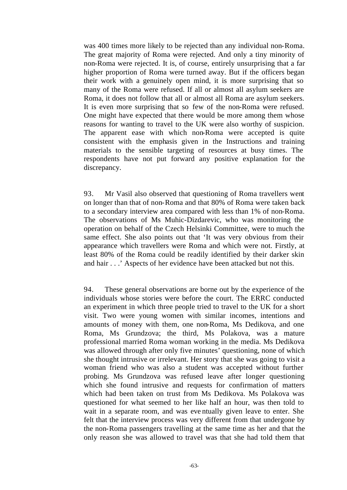was 400 times more likely to be rejected than any individual non-Roma. The great majority of Roma were rejected. And only a tiny minority of non-Roma were rejected. It is, of course, entirely unsurprising that a far higher proportion of Roma were turned away. But if the officers began their work with a genuinely open mind, it is more surprising that so many of the Roma were refused. If all or almost all asylum seekers are Roma, it does not follow that all or almost all Roma are asylum seekers. It is even more surprising that so few of the non-Roma were refused. One might have expected that there would be more among them whose reasons for wanting to travel to the UK were also worthy of suspicion. The apparent ease with which non-Roma were accepted is quite consistent with the emphasis given in the Instructions and training materials to the sensible targeting of resources at busy times. The respondents have not put forward any positive explanation for the discrepancy.

93. Mr Vasil also observed that questioning of Roma travellers went on longer than that of non-Roma and that 80% of Roma were taken back to a secondary interview area compared with less than 1% of non-Roma. The observations of Ms Muhic-Dizdarevic, who was monitoring the operation on behalf of the Czech Helsinki Committee, were to much the same effect. She also points out that 'It was very obvious from their appearance which travellers were Roma and which were not. Firstly, at least 80% of the Roma could be readily identified by their darker skin and hair . . .' Aspects of her evidence have been attacked but not this.

94. These general observations are borne out by the experience of the individuals whose stories were before the court. The ERRC conducted an experiment in which three people tried to travel to the UK for a short visit. Two were young women with similar incomes, intentions and amounts of money with them, one non-Roma, Ms Dedikova, and one Roma, Ms Grundzova; the third, Ms Polakova, was a mature professional married Roma woman working in the media. Ms Dedikova was allowed through after only five minutes' questioning, none of which she thought intrusive or irrelevant. Her story that she was going to visit a woman friend who was also a student was accepted without further probing. Ms Grundzova was refused leave after longer questioning which she found intrusive and requests for confirmation of matters which had been taken on trust from Ms Dedikova. Ms Polakova was questioned for what seemed to her like half an hour, was then told to wait in a separate room, and was eve ntually given leave to enter. She felt that the interview process was very different from that undergone by the non-Roma passengers travelling at the same time as her and that the only reason she was allowed to travel was that she had told them that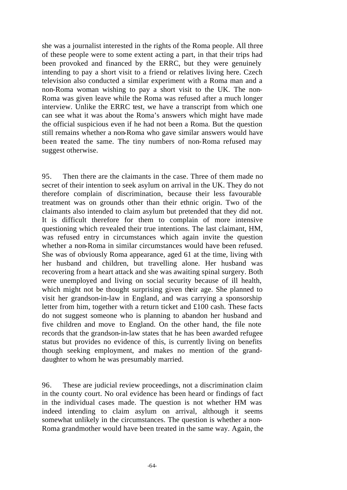she was a journalist interested in the rights of the Roma people. All three of these people were to some extent acting a part, in that their trips had been provoked and financed by the ERRC, but they were genuinely intending to pay a short visit to a friend or relatives living here. Czech television also conducted a similar experiment with a Roma man and a non-Roma woman wishing to pay a short visit to the UK. The non-Roma was given leave while the Roma was refused after a much longer interview. Unlike the ERRC test, we have a transcript from which one can see what it was about the Roma's answers which might have made the official suspicious even if he had not been a Roma. But the question still remains whether a non-Roma who gave similar answers would have been treated the same. The tiny numbers of non-Roma refused may suggest otherwise.

95. Then there are the claimants in the case. Three of them made no secret of their intention to seek asylum on arrival in the UK. They do not therefore complain of discrimination, because their less favourable treatment was on grounds other than their ethnic origin. Two of the claimants also intended to claim asylum but pretended that they did not. It is difficult therefore for them to complain of more intensive questioning which revealed their true intentions. The last claimant, HM, was refused entry in circumstances which again invite the question whether a non-Roma in similar circumstances would have been refused. She was of obviously Roma appearance, aged 61 at the time, living with her husband and children, but travelling alone. Her husband was recovering from a heart attack and she was awaiting spinal surgery. Both were unemployed and living on social security because of ill health, which might not be thought surprising given their age. She planned to visit her grandson-in-law in England, and was carrying a sponsorship letter from him, together with a return ticket and £100 cash. These facts do not suggest someone who is planning to abandon her husband and five children and move to England. On the other hand, the file note records that the grandson-in-law states that he has been awarded refugee status but provides no evidence of this, is currently living on benefits though seeking employment, and makes no mention of the granddaughter to whom he was presumably married.

96. These are judicial review proceedings, not a discrimination claim in the county court. No oral evidence has been heard or findings of fact in the individual cases made. The question is not whether HM was indeed intending to claim asylum on arrival, although it seems somewhat unlikely in the circumstances. The question is whether a non-Roma grandmother would have been treated in the same way. Again, the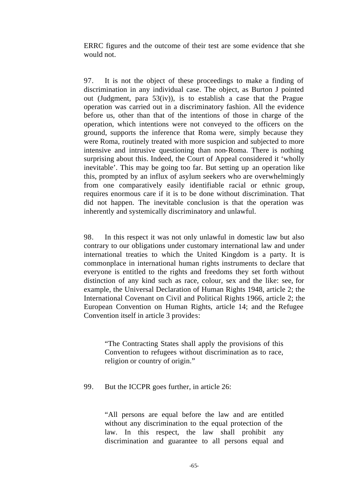ERRC figures and the outcome of their test are some evidence that she would not.

97. It is not the object of these proceedings to make a finding of discrimination in any individual case. The object, as Burton J pointed out (Judgment, para  $53(iv)$ ), is to establish a case that the Prague operation was carried out in a discriminatory fashion. All the evidence before us, other than that of the intentions of those in charge of the operation, which intentions were not conveyed to the officers on the ground, supports the inference that Roma were, simply because they were Roma, routinely treated with more suspicion and subjected to more intensive and intrusive questioning than non-Roma. There is nothing surprising about this. Indeed, the Court of Appeal considered it 'wholly inevitable'. This may be going too far. But setting up an operation like this, prompted by an influx of asylum seekers who are overwhelmingly from one comparatively easily identifiable racial or ethnic group, requires enormous care if it is to be done without discrimination. That did not happen. The inevitable conclusion is that the operation was inherently and systemically discriminatory and unlawful.

98. In this respect it was not only unlawful in domestic law but also contrary to our obligations under customary international law and under international treaties to which the United Kingdom is a party. It is commonplace in international human rights instruments to declare that everyone is entitled to the rights and freedoms they set forth without distinction of any kind such as race, colour, sex and the like: see, for example, the Universal Declaration of Human Rights 1948, article 2; the International Covenant on Civil and Political Rights 1966, article 2; the European Convention on Human Rights, article 14; and the Refugee Convention itself in article 3 provides:

"The Contracting States shall apply the provisions of this Convention to refugees without discrimination as to race, religion or country of origin."

# 99. But the ICCPR goes further, in article 26:

"All persons are equal before the law and are entitled without any discrimination to the equal protection of the law. In this respect, the law shall prohibit any discrimination and guarantee to all persons equal and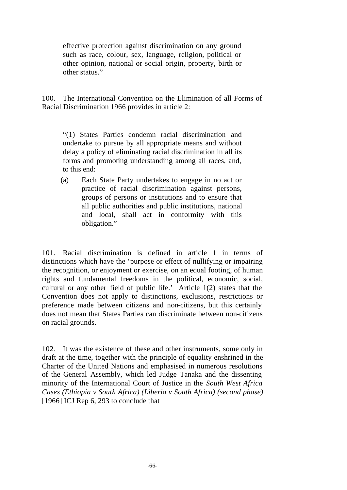effective protection against discrimination on any ground such as race, colour, sex, language, religion, political or other opinion, national or social origin, property, birth or other status."

100. The International Convention on the Elimination of all Forms of Racial Discrimination 1966 provides in article 2:

"(1) States Parties condemn racial discrimination and undertake to pursue by all appropriate means and without delay a policy of eliminating racial discrimination in all its forms and promoting understanding among all races, and, to this end:

(a) Each State Party undertakes to engage in no act or practice of racial discrimination against persons, groups of persons or institutions and to ensure that all public authorities and public institutions, national and local, shall act in conformity with this obligation."

101. Racial discrimination is defined in article 1 in terms of distinctions which have the 'purpose or effect of nullifying or impairing the recognition, or enjoyment or exercise, on an equal footing, of human rights and fundamental freedoms in the political, economic, social, cultural or any other field of public life.' Article 1(2) states that the Convention does not apply to distinctions, exclusions, restrictions or preference made between citizens and non-citizens, but this certainly does not mean that States Parties can discriminate between non-citizens on racial grounds.

102. It was the existence of these and other instruments, some only in draft at the time, together with the principle of equality enshrined in the Charter of the United Nations and emphasised in numerous resolutions of the General Assembly, which led Judge Tanaka and the dissenting minority of the International Court of Justice in the *South West Africa Cases (Ethiopia v South Africa) (Liberia v South Africa) (second phase)* [1966] ICJ Rep 6, 293 to conclude that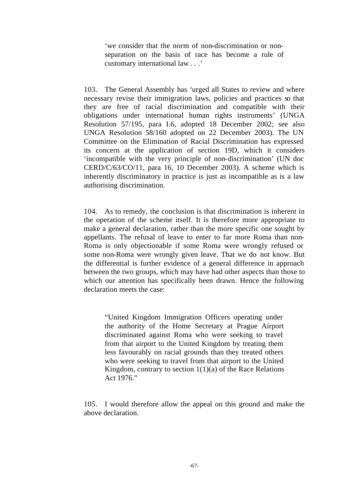'we consider that the norm of non-discrimination or nonseparation on the basis of race has become a rule of customary international law . . .'

103. The General Assembly has 'urged all States to review and where necessary revise their immigration laws, policies and practices so that they are free of racial discrimination and compatible with their obligations under international human rights instruments' (UNGA Resolution 57/195, para I.6, adopted 18 December 2002; see also UNGA Resolution 58/160 adopted on 22 December 2003). The UN Committee on the Elimination of Racial Discrimination has expressed its concern at the application of section 19D, which it considers 'incompatible with the very principle of non-discrimination' (UN doc CERD/C/63/CO/11, para 16, 10 December 2003). A scheme which is inherently discriminatory in practice is just as incompatible as is a law authorising discrimination.

104. As to remedy, the conclusion is that discrimination is inherent in the operation of the scheme itself. It is therefore more appropriate to make a general declaration, rather than the more specific one sought by appellants. The refusal of leave to enter to far more Roma than non-Roma is only objectionable if some Roma were wrongly refused or some non-Roma were wrongly given leave. That we do not know. But the differential is further evidence of a general difference in approach between the two groups, which may have had other aspects than those to which our attention has specifically been drawn. Hence the following declaration meets the case:

"United Kingdom Immigration Officers operating under the authority of the Home Secretary at Prague Airport discriminated against Roma who were seeking to travel from that airport to the United Kingdom by treating them less favourably on racial grounds than they treated others who were seeking to travel from that airport to the United Kingdom, contrary to section  $1(1)(a)$  of the Race Relations Act 1976."

105. I would therefore allow the appeal on this ground and make the above declaration.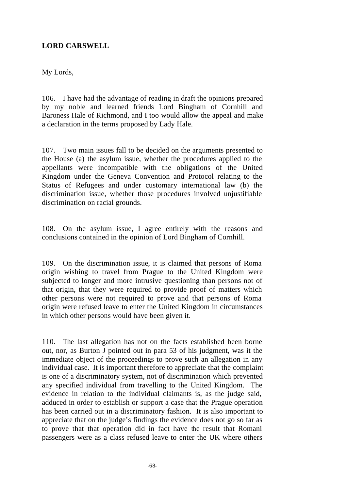# **LORD CARSWELL**

My Lords,

106. I have had the advantage of reading in draft the opinions prepared by my noble and learned friends Lord Bingham of Cornhill and Baroness Hale of Richmond, and I too would allow the appeal and make a declaration in the terms proposed by Lady Hale.

107. Two main issues fall to be decided on the arguments presented to the House (a) the asylum issue, whether the procedures applied to the appellants were incompatible with the obligations of the United Kingdom under the Geneva Convention and Protocol relating to the Status of Refugees and under customary international law (b) the discrimination issue, whether those procedures involved unjustifiable discrimination on racial grounds.

108. On the asylum issue, I agree entirely with the reasons and conclusions contained in the opinion of Lord Bingham of Cornhill.

109. On the discrimination issue, it is claimed that persons of Roma origin wishing to travel from Prague to the United Kingdom were subjected to longer and more intrusive questioning than persons not of that origin, that they were required to provide proof of matters which other persons were not required to prove and that persons of Roma origin were refused leave to enter the United Kingdom in circumstances in which other persons would have been given it.

110. The last allegation has not on the facts established been borne out, nor, as Burton J pointed out in para 53 of his judgment, was it the immediate object of the proceedings to prove such an allegation in any individual case. It is important therefore to appreciate that the complaint is one of a discriminatory system, not of discrimination which prevented any specified individual from travelling to the United Kingdom. The evidence in relation to the individual claimants is, as the judge said, adduced in order to establish or support a case that the Prague operation has been carried out in a discriminatory fashion. It is also important to appreciate that on the judge's findings the evidence does not go so far as to prove that that operation did in fact have the result that Romani passengers were as a class refused leave to enter the UK where others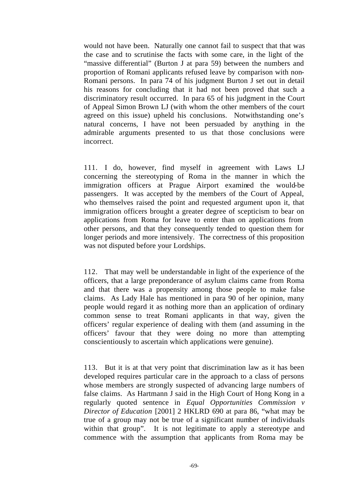would not have been. Naturally one cannot fail to suspect that that was the case and to scrutinise the facts with some care, in the light of the "massive differential" (Burton J at para 59) between the numbers and proportion of Romani applicants refused leave by comparison with non-Romani persons. In para 74 of his judgment Burton J set out in detail his reasons for concluding that it had not been proved that such a discriminatory result occurred. In para 65 of his judgment in the Court of Appeal Simon Brown LJ (with whom the other members of the court agreed on this issue) upheld his conclusions. Notwithstanding one's natural concerns, I have not been persuaded by anything in the admirable arguments presented to us that those conclusions were incorrect.

111. I do, however, find myself in agreement with Laws LJ concerning the stereotyping of Roma in the manner in which the immigration officers at Prague Airport examined the would-be passengers. It was accepted by the members of the Court of Appeal, who themselves raised the point and requested argument upon it, that immigration officers brought a greater degree of scepticism to bear on applications from Roma for leave to enter than on applications from other persons, and that they consequently tended to question them for longer periods and more intensively. The correctness of this proposition was not disputed before your Lordships.

112. That may well be understandable in light of the experience of the officers, that a large preponderance of asylum claims came from Roma and that there was a propensity among those people to make false claims. As Lady Hale has mentioned in para 90 of her opinion, many people would regard it as nothing more than an application of ordinary common sense to treat Romani applicants in that way, given the officers' regular experience of dealing with them (and assuming in the officers' favour that they were doing no more than attempting conscientiously to ascertain which applications were genuine).

113. But it is at that very point that discrimination law as it has been developed requires particular care in the approach to a class of persons whose members are strongly suspected of advancing large numbers of false claims. As Hartmann J said in the High Court of Hong Kong in a regularly quoted sentence in *Equal Opportunities Commission v Director of Education* [2001] 2 HKLRD 690 at para 86, "what may be true of a group may not be true of a significant number of individuals within that group". It is not legitimate to apply a stereotype and commence with the assumption that applicants from Roma may be